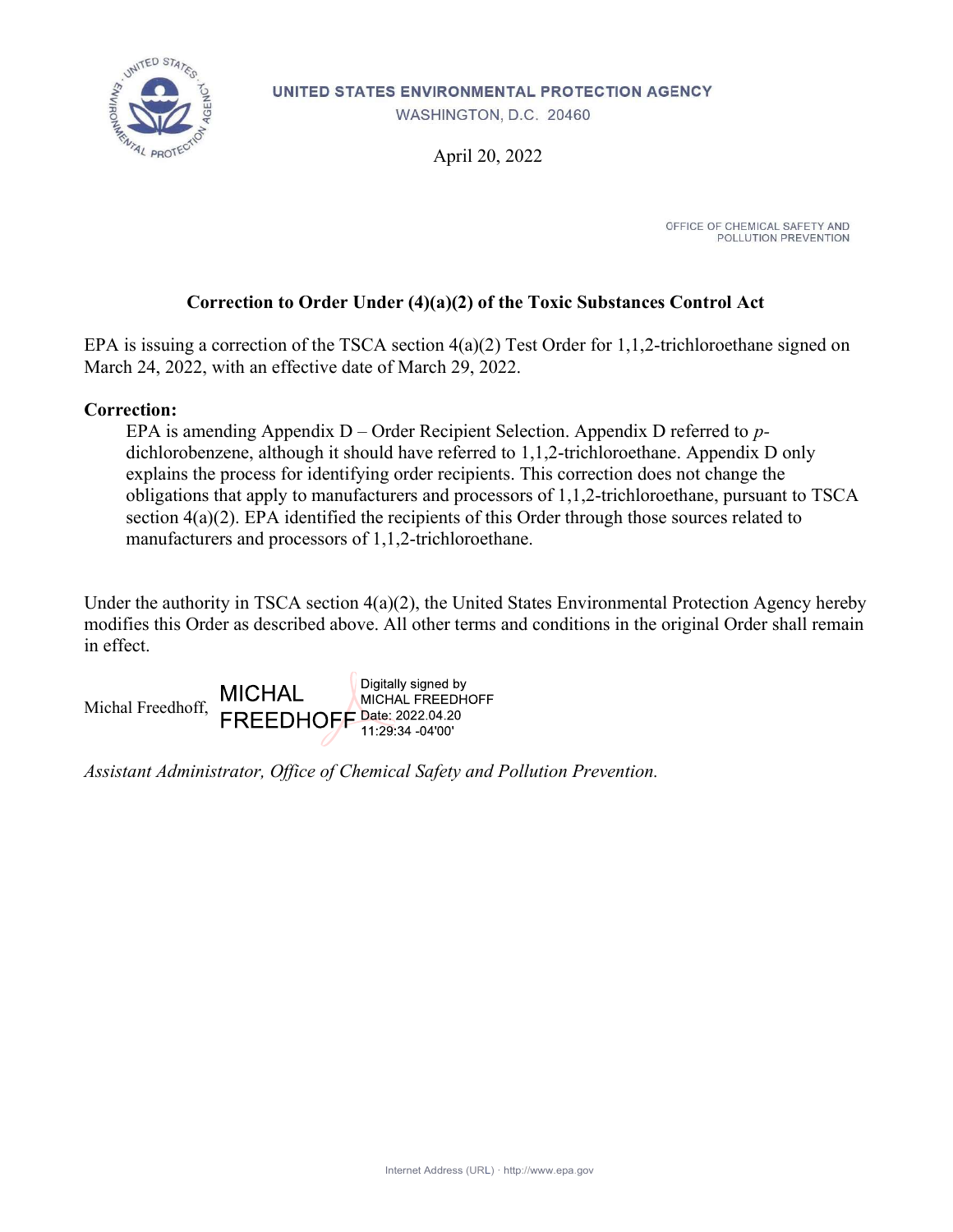

UNITED STATES ENVIRONMENTAL PROTECTION AGENCY

WASHINGTON, D.C. 20460

April 20, 2022

OFFICE OF CHEMICAL SAFETY AND POLLUTION PREVENTION

### Correction to Order Under (4)(a)(2) of the Toxic Substances Control Act

EPA is issuing a correction of the TSCA section 4(a)(2) Test Order for 1,1,2-trichloroethane signed on March 24, 2022, with an effective date of March 29, 2022.

#### Correction:

EPA is amending Appendix  $D -$ Order Recipient Selection. Appendix D referred to pdichlorobenzene, although it should have referred to 1,1,2-trichloroethane. Appendix D only explains the process for identifying order recipients. This correction does not change the obligations that apply to manufacturers and processors of 1,1,2-trichloroethane, pursuant to TSCA section 4(a)(2). EPA identified the recipients of this Order through those sources related to manufacturers and processors of 1,1,2-trichloroethane.

Under the authority in TSCA section 4(a)(2), the United States Environmental Protection Agency hereby modifies this Order as described above. All other terms and conditions in the original Order shall remain in effect.



Assistant Administrator, Office of Chemical Safety and Pollution Prevention.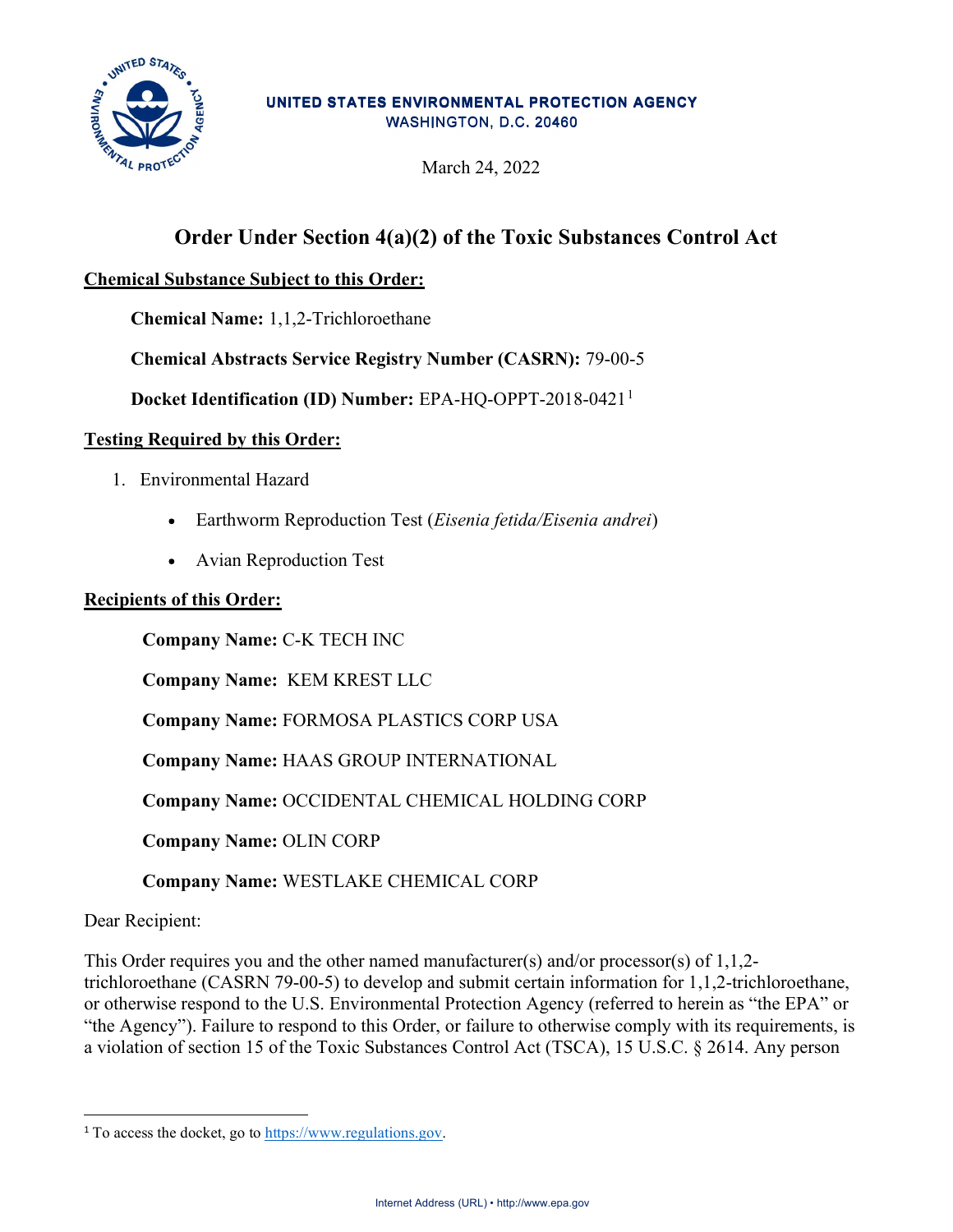

#### UNITED STATES ENVIRONMENTAL PROTECTION AGENCY WASHINGTON, D.C. 20460

March 24, 2022

# Order Under Section 4(a)(2) of the Toxic Substances Control Act

### Chemical Substance Subject to this Order:

Chemical Name: 1,1,2-Trichloroethane

Chemical Abstracts Service Registry Number (CASRN): 79-00-5

Docket Identification (ID) Number: EPA-HQ-OPPT-2018-0421<sup>1</sup>

### Testing Required by this Order:

- 1. Environmental Hazard
	- Earthworm Reproduction Test (*Eisenia fetida/Eisenia andrei*)
	- Avian Reproduction Test

#### Recipients of this Order:

Company Name: C-K TECH INC

Company Name: KEM KREST LLC

Company Name: FORMOSA PLASTICS CORP USA

Company Name: HAAS GROUP INTERNATIONAL

Company Name: OCCIDENTAL CHEMICAL HOLDING CORP

Company Name: OLIN CORP

Company Name: WESTLAKE CHEMICAL CORP

#### Dear Recipient:

This Order requires you and the other named manufacturer(s) and/or processor(s) of  $1,1,2$ trichloroethane (CASRN 79-00-5) to develop and submit certain information for 1,1,2-trichloroethane, or otherwise respond to the U.S. Environmental Protection Agency (referred to herein as "the EPA" or "the Agency"). Failure to respond to this Order, or failure to otherwise comply with its requirements, is a violation of section 15 of the Toxic Substances Control Act (TSCA), 15 U.S.C. § 2614. Any person

<sup>1</sup> To access the docket, go to https://www.regulations.gov.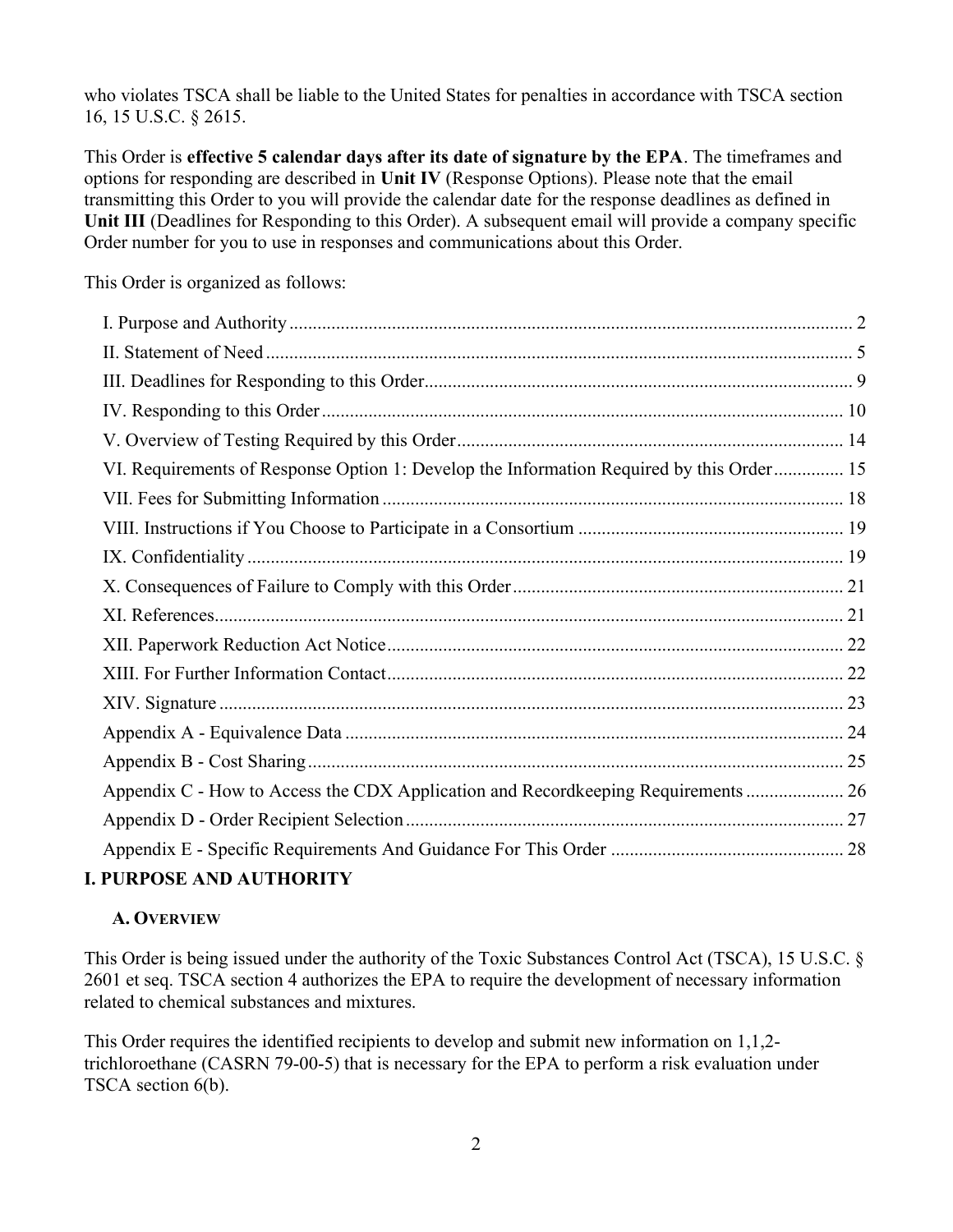who violates TSCA shall be liable to the United States for penalties in accordance with TSCA section 16, 15 U.S.C. § 2615.

This Order is effective 5 calendar days after its date of signature by the EPA. The timeframes and options for responding are described in Unit IV (Response Options). Please note that the email transmitting this Order to you will provide the calendar date for the response deadlines as defined in Unit III (Deadlines for Responding to this Order). A subsequent email will provide a company specific Order number for you to use in responses and communications about this Order.

This Order is organized as follows:

### I. PURPOSE AND AUTHORITY

### A. OVERVIEW

This Order is being issued under the authority of the Toxic Substances Control Act (TSCA), 15 U.S.C. § 2601 et seq. TSCA section 4 authorizes the EPA to require the development of necessary information related to chemical substances and mixtures.

This Order requires the identified recipients to develop and submit new information on 1,1,2 trichloroethane (CASRN 79-00-5) that is necessary for the EPA to perform a risk evaluation under TSCA section 6(b).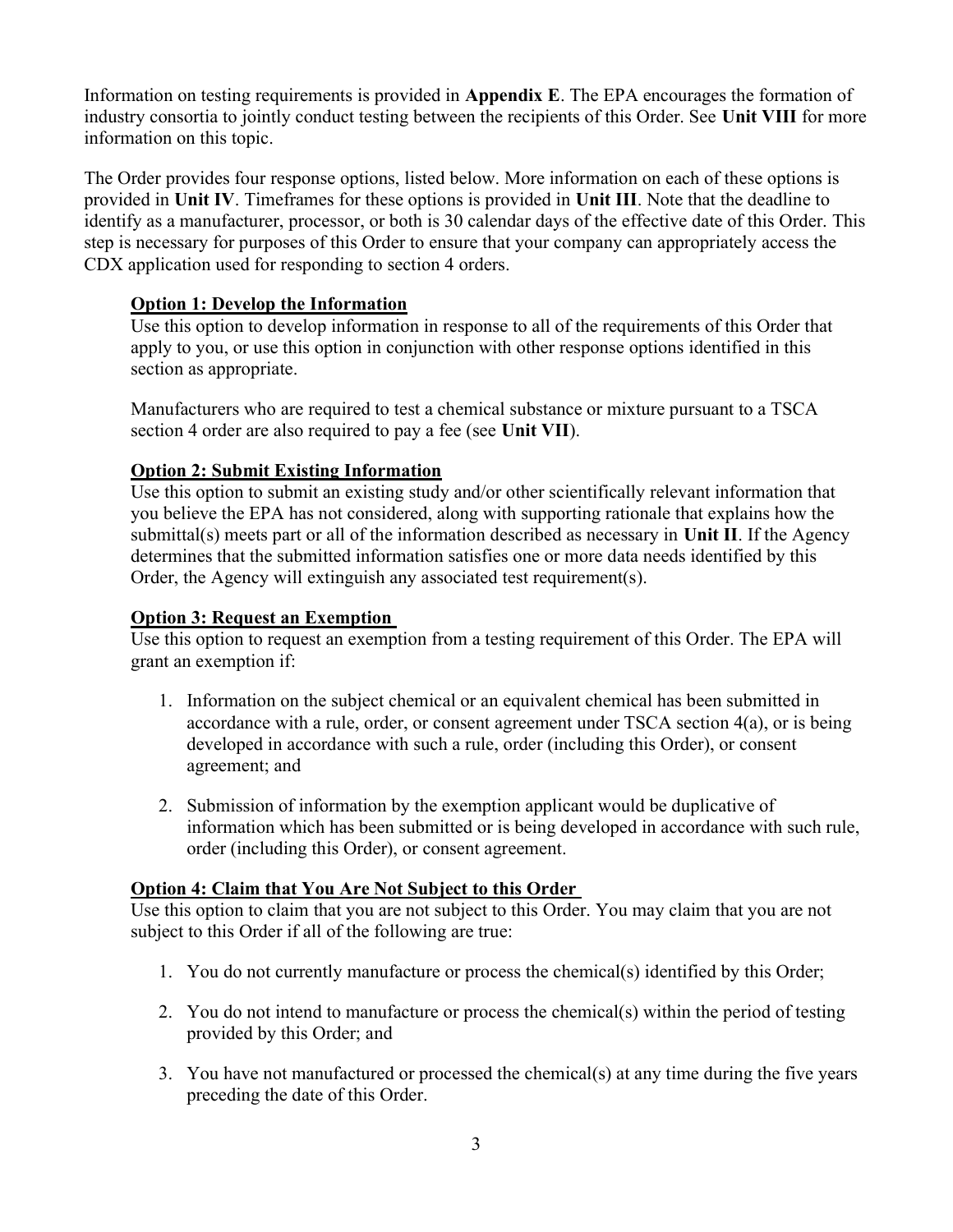Information on testing requirements is provided in Appendix E. The EPA encourages the formation of industry consortia to jointly conduct testing between the recipients of this Order. See Unit VIII for more information on this topic.

The Order provides four response options, listed below. More information on each of these options is provided in Unit IV. Timeframes for these options is provided in Unit III. Note that the deadline to identify as a manufacturer, processor, or both is 30 calendar days of the effective date of this Order. This step is necessary for purposes of this Order to ensure that your company can appropriately access the CDX application used for responding to section 4 orders.

#### Option 1: Develop the Information

Use this option to develop information in response to all of the requirements of this Order that apply to you, or use this option in conjunction with other response options identified in this section as appropriate.

Manufacturers who are required to test a chemical substance or mixture pursuant to a TSCA section 4 order are also required to pay a fee (see Unit VII).

### Option 2: Submit Existing Information

Use this option to submit an existing study and/or other scientifically relevant information that you believe the EPA has not considered, along with supporting rationale that explains how the submittal(s) meets part or all of the information described as necessary in Unit II. If the Agency determines that the submitted information satisfies one or more data needs identified by this Order, the Agency will extinguish any associated test requirement(s).

#### Option 3: Request an Exemption

Use this option to request an exemption from a testing requirement of this Order. The EPA will grant an exemption if:

- 1. Information on the subject chemical or an equivalent chemical has been submitted in accordance with a rule, order, or consent agreement under TSCA section 4(a), or is being developed in accordance with such a rule, order (including this Order), or consent agreement; and
- 2. Submission of information by the exemption applicant would be duplicative of information which has been submitted or is being developed in accordance with such rule, order (including this Order), or consent agreement.

### Option 4: Claim that You Are Not Subject to this Order

Use this option to claim that you are not subject to this Order. You may claim that you are not subject to this Order if all of the following are true:

- 1. You do not currently manufacture or process the chemical(s) identified by this Order;
- 2. You do not intend to manufacture or process the chemical(s) within the period of testing provided by this Order; and
- 3. You have not manufactured or processed the chemical(s) at any time during the five years preceding the date of this Order.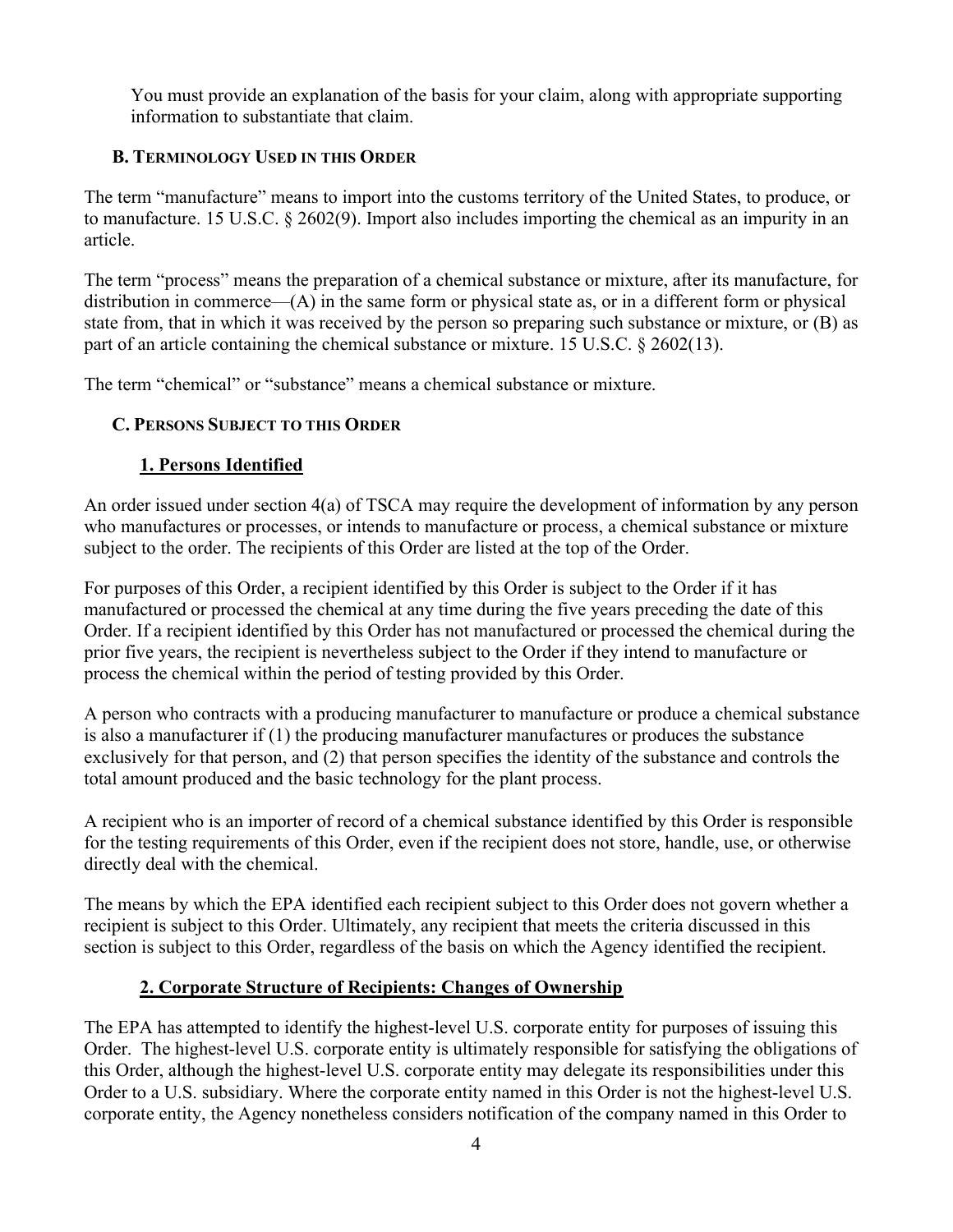You must provide an explanation of the basis for your claim, along with appropriate supporting information to substantiate that claim.

### B. TERMINOLOGY USED IN THIS ORDER

The term "manufacture" means to import into the customs territory of the United States, to produce, or to manufacture. 15 U.S.C. § 2602(9). Import also includes importing the chemical as an impurity in an article.

The term "process" means the preparation of a chemical substance or mixture, after its manufacture, for distribution in commerce—(A) in the same form or physical state as, or in a different form or physical state from, that in which it was received by the person so preparing such substance or mixture, or (B) as part of an article containing the chemical substance or mixture. 15 U.S.C. § 2602(13).

The term "chemical" or "substance" means a chemical substance or mixture.

## C. PERSONS SUBJECT TO THIS ORDER

### 1. Persons Identified

An order issued under section 4(a) of TSCA may require the development of information by any person who manufactures or processes, or intends to manufacture or process, a chemical substance or mixture subject to the order. The recipients of this Order are listed at the top of the Order.

For purposes of this Order, a recipient identified by this Order is subject to the Order if it has manufactured or processed the chemical at any time during the five years preceding the date of this Order. If a recipient identified by this Order has not manufactured or processed the chemical during the prior five years, the recipient is nevertheless subject to the Order if they intend to manufacture or process the chemical within the period of testing provided by this Order.

A person who contracts with a producing manufacturer to manufacture or produce a chemical substance is also a manufacturer if (1) the producing manufacturer manufactures or produces the substance exclusively for that person, and (2) that person specifies the identity of the substance and controls the total amount produced and the basic technology for the plant process.

A recipient who is an importer of record of a chemical substance identified by this Order is responsible for the testing requirements of this Order, even if the recipient does not store, handle, use, or otherwise directly deal with the chemical.

The means by which the EPA identified each recipient subject to this Order does not govern whether a recipient is subject to this Order. Ultimately, any recipient that meets the criteria discussed in this section is subject to this Order, regardless of the basis on which the Agency identified the recipient.

## 2. Corporate Structure of Recipients: Changes of Ownership

The EPA has attempted to identify the highest-level U.S. corporate entity for purposes of issuing this Order. The highest-level U.S. corporate entity is ultimately responsible for satisfying the obligations of this Order, although the highest-level U.S. corporate entity may delegate its responsibilities under this Order to a U.S. subsidiary. Where the corporate entity named in this Order is not the highest-level U.S. corporate entity, the Agency nonetheless considers notification of the company named in this Order to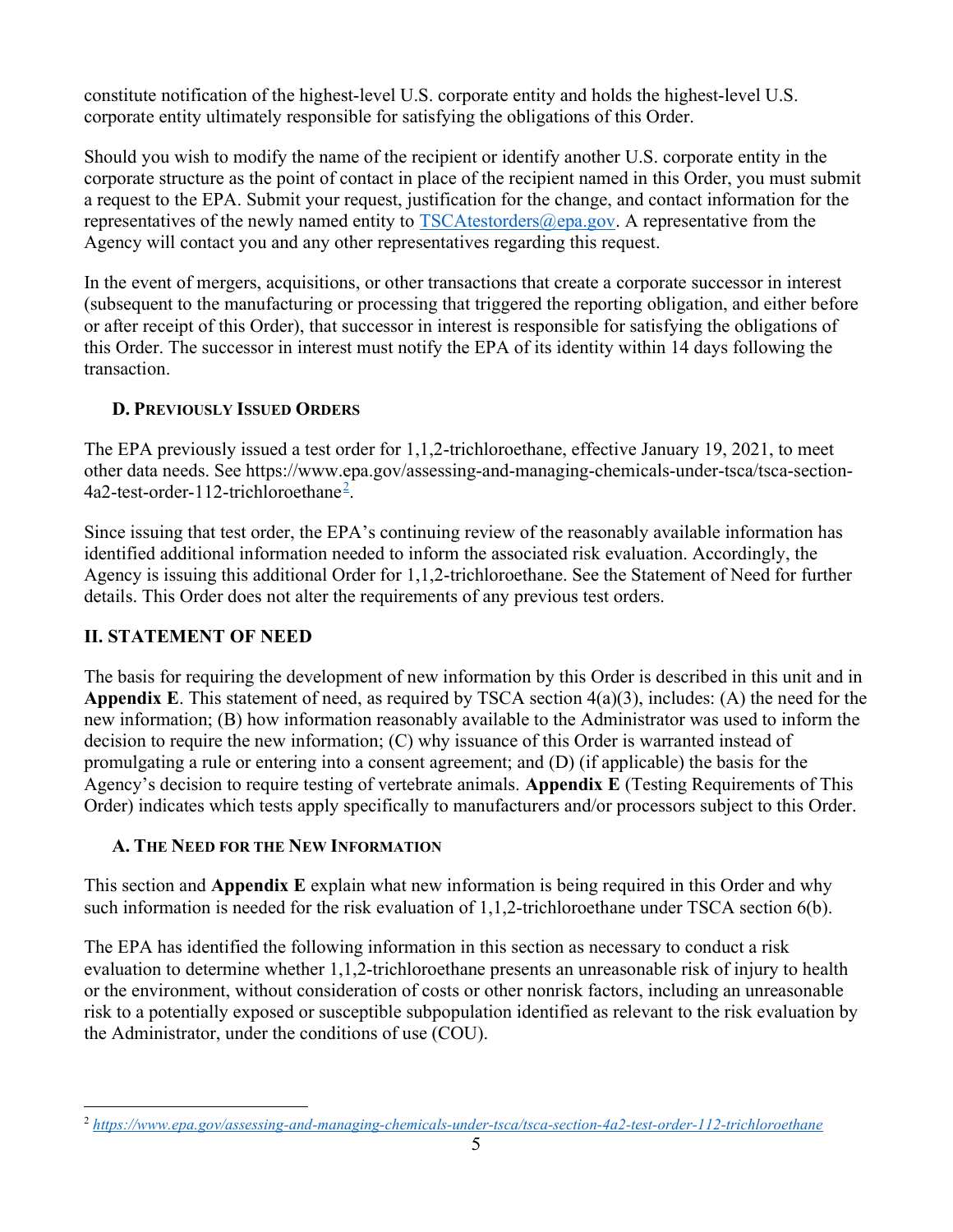constitute notification of the highest-level U.S. corporate entity and holds the highest-level U.S. corporate entity ultimately responsible for satisfying the obligations of this Order.

Should you wish to modify the name of the recipient or identify another U.S. corporate entity in the corporate structure as the point of contact in place of the recipient named in this Order, you must submit a request to the EPA. Submit your request, justification for the change, and contact information for the representatives of the newly named entity to  $TSCAtestorders@epa.gov$ . A representative from the Agency will contact you and any other representatives regarding this request.

In the event of mergers, acquisitions, or other transactions that create a corporate successor in interest (subsequent to the manufacturing or processing that triggered the reporting obligation, and either before or after receipt of this Order), that successor in interest is responsible for satisfying the obligations of this Order. The successor in interest must notify the EPA of its identity within 14 days following the transaction.

### D. PREVIOUSLY ISSUED ORDERS

The EPA previously issued a test order for 1,1,2-trichloroethane, effective January 19, 2021, to meet other data needs. See https://www.epa.gov/assessing-and-managing-chemicals-under-tsca/tsca-section-4a2-test-order-112-trichloroethane<sup>2</sup> .

Since issuing that test order, the EPA's continuing review of the reasonably available information has identified additional information needed to inform the associated risk evaluation. Accordingly, the Agency is issuing this additional Order for 1,1,2-trichloroethane. See the Statement of Need for further details. This Order does not alter the requirements of any previous test orders.

## II. STATEMENT OF NEED

The basis for requiring the development of new information by this Order is described in this unit and in **Appendix E.** This statement of need, as required by TSCA section  $4(a)(3)$ , includes: (A) the need for the new information; (B) how information reasonably available to the Administrator was used to inform the decision to require the new information; (C) why issuance of this Order is warranted instead of promulgating a rule or entering into a consent agreement; and (D) (if applicable) the basis for the Agency's decision to require testing of vertebrate animals. Appendix E (Testing Requirements of This Order) indicates which tests apply specifically to manufacturers and/or processors subject to this Order.

## A. THE NEED FOR THE NEW INFORMATION

This section and **Appendix E** explain what new information is being required in this Order and why such information is needed for the risk evaluation of 1,1,2-trichloroethane under TSCA section 6(b).

The EPA has identified the following information in this section as necessary to conduct a risk evaluation to determine whether 1,1,2-trichloroethane presents an unreasonable risk of injury to health or the environment, without consideration of costs or other nonrisk factors, including an unreasonable risk to a potentially exposed or susceptible subpopulation identified as relevant to the risk evaluation by the Administrator, under the conditions of use (COU).

<sup>&</sup>lt;sup>2</sup> https://www.epa.gov/assessing-and-managing-chemicals-under-tsca/tsca-section-4a2-test-order-112-trichloroethane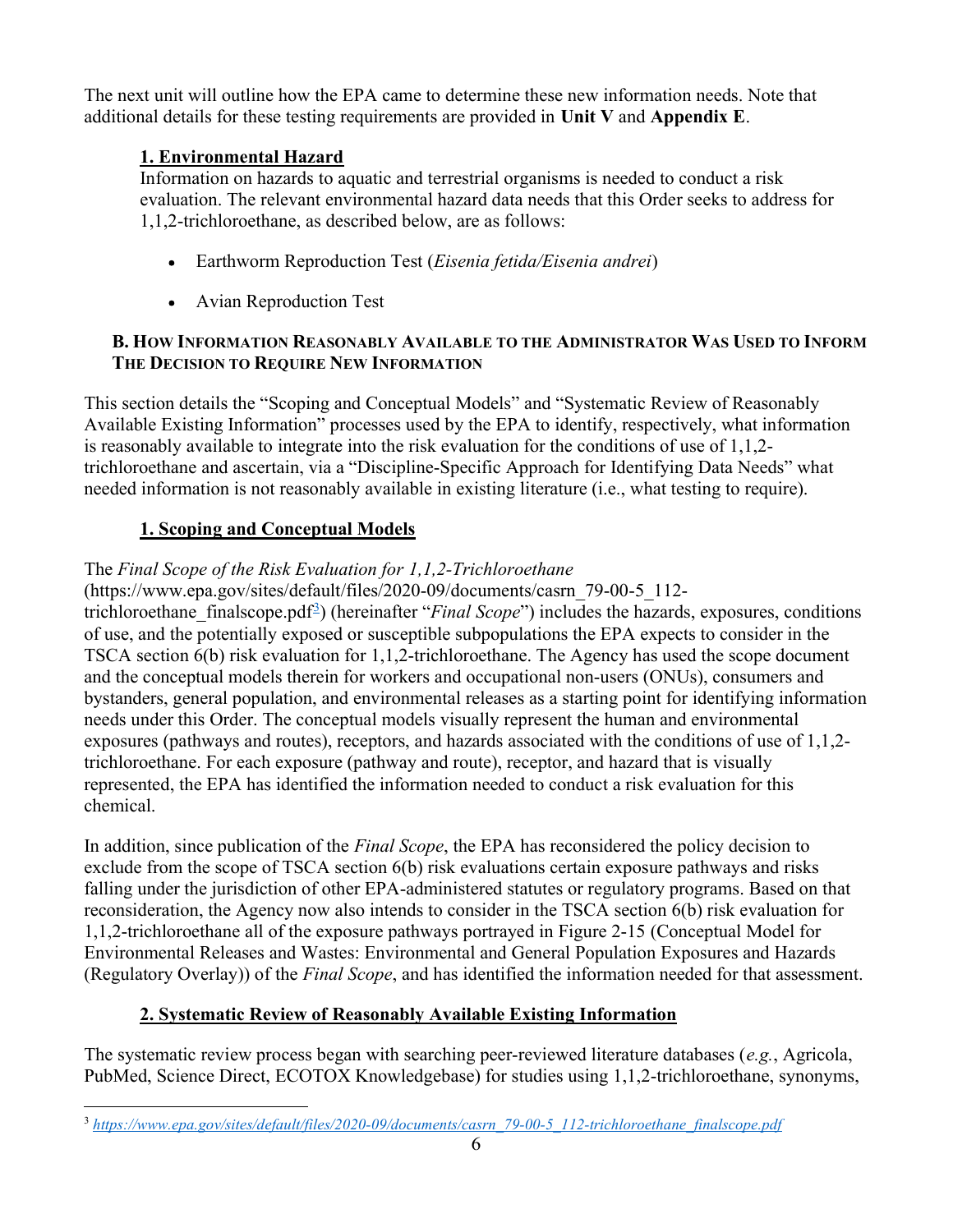The next unit will outline how the EPA came to determine these new information needs. Note that additional details for these testing requirements are provided in Unit V and Appendix  $E$ .

## 1. Environmental Hazard

Information on hazards to aquatic and terrestrial organisms is needed to conduct a risk evaluation. The relevant environmental hazard data needs that this Order seeks to address for 1,1,2-trichloroethane, as described below, are as follows:

- **Earthworm Reproduction Test** (*Eisenia fetida*/*Eisenia andrei*)
- Avian Reproduction Test

### B. HOW INFORMATION REASONABLY AVAILABLE TO THE ADMINISTRATOR WAS USED TO INFORM THE DECISION TO REQUIRE NEW INFORMATION

This section details the "Scoping and Conceptual Models" and "Systematic Review of Reasonably Available Existing Information" processes used by the EPA to identify, respectively, what information is reasonably available to integrate into the risk evaluation for the conditions of use of 1,1,2 trichloroethane and ascertain, via a "Discipline-Specific Approach for Identifying Data Needs" what needed information is not reasonably available in existing literature (i.e., what testing to require).

# 1. Scoping and Conceptual Models

## The Final Scope of the Risk Evaluation for 1,1,2-Trichloroethane

(https://www.epa.gov/sites/default/files/2020-09/documents/casrn\_79-00-5\_112 trichloroethane\_finalscope.pdf<sup>3</sup>) (hereinafter "*Final Scope*") includes the hazards, exposures, conditions of use, and the potentially exposed or susceptible subpopulations the EPA expects to consider in the TSCA section 6(b) risk evaluation for 1,1,2-trichloroethane. The Agency has used the scope document and the conceptual models therein for workers and occupational non-users (ONUs), consumers and bystanders, general population, and environmental releases as a starting point for identifying information needs under this Order. The conceptual models visually represent the human and environmental exposures (pathways and routes), receptors, and hazards associated with the conditions of use of 1,1,2 trichloroethane. For each exposure (pathway and route), receptor, and hazard that is visually represented, the EPA has identified the information needed to conduct a risk evaluation for this chemical.

In addition, since publication of the *Final Scope*, the EPA has reconsidered the policy decision to exclude from the scope of TSCA section 6(b) risk evaluations certain exposure pathways and risks falling under the jurisdiction of other EPA-administered statutes or regulatory programs. Based on that reconsideration, the Agency now also intends to consider in the TSCA section 6(b) risk evaluation for 1,1,2-trichloroethane all of the exposure pathways portrayed in Figure 2-15 (Conceptual Model for Environmental Releases and Wastes: Environmental and General Population Exposures and Hazards (Regulatory Overlay)) of the Final Scope, and has identified the information needed for that assessment.

# 2. Systematic Review of Reasonably Available Existing Information

The systematic review process began with searching peer-reviewed literature databases (e.g., Agricola, PubMed, Science Direct, ECOTOX Knowledgebase) for studies using 1,1,2-trichloroethane, synonyms,

<sup>&</sup>lt;sup>3</sup> https://www.epa.gov/sites/default/files/2020-09/documents/casrn\_79-00-5\_112-trichloroethane\_finalscope.pdf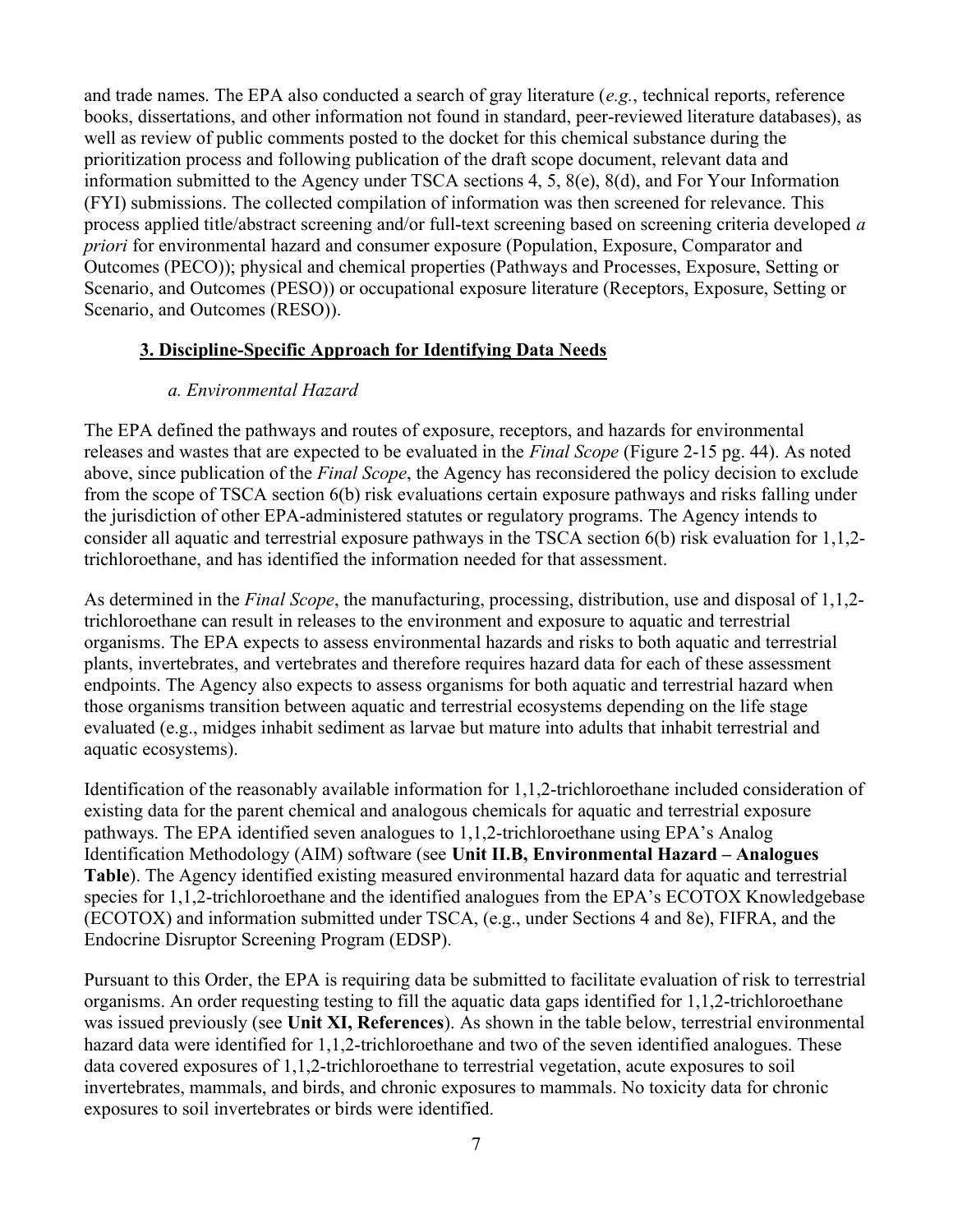and trade names. The EPA also conducted a search of gray literature (e.g., technical reports, reference books, dissertations, and other information not found in standard, peer-reviewed literature databases), as well as review of public comments posted to the docket for this chemical substance during the prioritization process and following publication of the draft scope document, relevant data and information submitted to the Agency under TSCA sections 4, 5, 8(e), 8(d), and For Your Information (FYI) submissions. The collected compilation of information was then screened for relevance. This process applied title/abstract screening and/or full-text screening based on screening criteria developed a priori for environmental hazard and consumer exposure (Population, Exposure, Comparator and Outcomes (PECO)); physical and chemical properties (Pathways and Processes, Exposure, Setting or Scenario, and Outcomes (PESO)) or occupational exposure literature (Receptors, Exposure, Setting or Scenario, and Outcomes (RESO)).

### 3. Discipline-Specific Approach for Identifying Data Needs

### a. Environmental Hazard

The EPA defined the pathways and routes of exposure, receptors, and hazards for environmental releases and wastes that are expected to be evaluated in the Final Scope (Figure 2-15 pg. 44). As noted above, since publication of the Final Scope, the Agency has reconsidered the policy decision to exclude from the scope of TSCA section 6(b) risk evaluations certain exposure pathways and risks falling under the jurisdiction of other EPA-administered statutes or regulatory programs. The Agency intends to consider all aquatic and terrestrial exposure pathways in the TSCA section 6(b) risk evaluation for 1,1,2 trichloroethane, and has identified the information needed for that assessment.

As determined in the Final Scope, the manufacturing, processing, distribution, use and disposal of 1,1,2trichloroethane can result in releases to the environment and exposure to aquatic and terrestrial organisms. The EPA expects to assess environmental hazards and risks to both aquatic and terrestrial plants, invertebrates, and vertebrates and therefore requires hazard data for each of these assessment endpoints. The Agency also expects to assess organisms for both aquatic and terrestrial hazard when those organisms transition between aquatic and terrestrial ecosystems depending on the life stage evaluated (e.g., midges inhabit sediment as larvae but mature into adults that inhabit terrestrial and aquatic ecosystems).

Identification of the reasonably available information for 1,1,2-trichloroethane included consideration of existing data for the parent chemical and analogous chemicals for aquatic and terrestrial exposure pathways. The EPA identified seven analogues to 1,1,2-trichloroethane using EPA's Analog Identification Methodology (AIM) software (see Unit II.B, Environmental Hazard – Analogues Table). The Agency identified existing measured environmental hazard data for aquatic and terrestrial species for 1,1,2-trichloroethane and the identified analogues from the EPA's ECOTOX Knowledgebase (ECOTOX) and information submitted under TSCA, (e.g., under Sections 4 and 8e), FIFRA, and the Endocrine Disruptor Screening Program (EDSP).

Pursuant to this Order, the EPA is requiring data be submitted to facilitate evaluation of risk to terrestrial organisms. An order requesting testing to fill the aquatic data gaps identified for 1,1,2-trichloroethane was issued previously (see Unit XI, References). As shown in the table below, terrestrial environmental hazard data were identified for 1,1,2-trichloroethane and two of the seven identified analogues. These data covered exposures of 1,1,2-trichloroethane to terrestrial vegetation, acute exposures to soil invertebrates, mammals, and birds, and chronic exposures to mammals. No toxicity data for chronic exposures to soil invertebrates or birds were identified.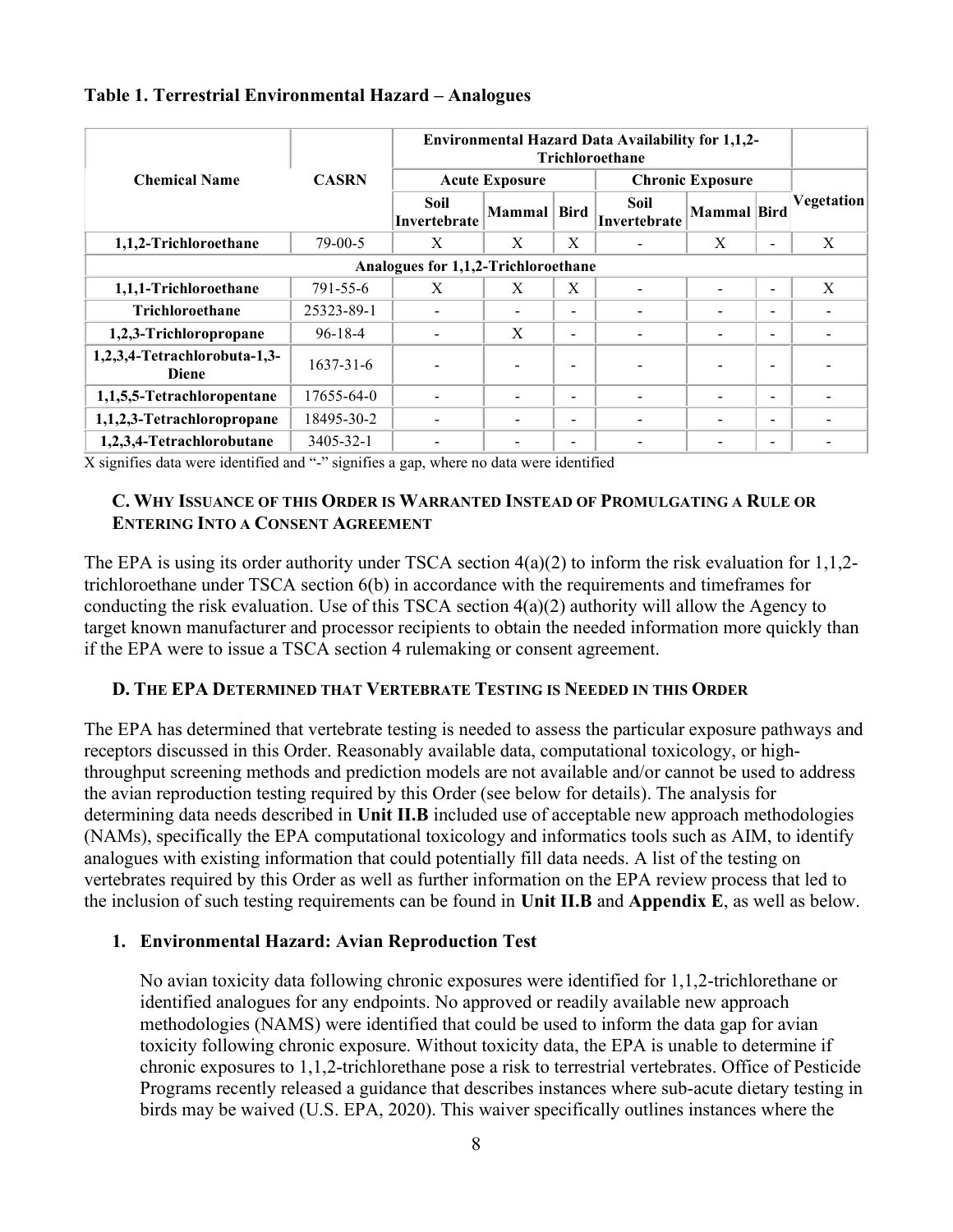|                                              | <b>CASRN</b>    | <b>Environmental Hazard Data Availability for 1,1,2-</b><br><b>Trichloroethane</b> |              |                          |                             |                          |                          |            |  |  |
|----------------------------------------------|-----------------|------------------------------------------------------------------------------------|--------------|--------------------------|-----------------------------|--------------------------|--------------------------|------------|--|--|
| <b>Chemical Name</b>                         |                 | <b>Acute Exposure</b>                                                              |              |                          | <b>Chronic Exposure</b>     |                          |                          |            |  |  |
|                                              |                 | Soil<br>Invertebrate                                                               | Mammal Bird  |                          | <b>Soil</b><br>Invertebrate | Mammal Bird              |                          | Vegetation |  |  |
| 1,1,2-Trichloroethane                        | $79-00-5$       | X                                                                                  | X            | X                        |                             | X                        | ٠                        | X          |  |  |
| Analogues for 1,1,2-Trichloroethane          |                 |                                                                                    |              |                          |                             |                          |                          |            |  |  |
| 1,1,1-Trichloroethane                        | 791-55-6        | X                                                                                  | X            | X                        |                             |                          | $\overline{\phantom{a}}$ | X          |  |  |
| <b>Trichloroethane</b>                       | 25323-89-1      |                                                                                    |              | $\overline{\phantom{a}}$ |                             | $\overline{\phantom{a}}$ | ٠                        |            |  |  |
| 1,2,3-Trichloropropane                       | $96 - 18 - 4$   |                                                                                    | $\mathbf{X}$ | $\overline{\phantom{0}}$ |                             |                          | $\overline{\phantom{a}}$ |            |  |  |
| 1,2,3,4-Tetrachlorobuta-1,3-<br><b>Diene</b> | $1637 - 31 - 6$ |                                                                                    |              | $\overline{\phantom{a}}$ |                             |                          | ٠                        |            |  |  |
| 1,1,5,5-Tetrachloropentane                   | 17655-64-0      |                                                                                    |              | $\overline{\phantom{0}}$ | $\overline{\phantom{0}}$    | ٠                        | ٠                        |            |  |  |
| 1,1,2,3-Tetrachloropropane                   | 18495-30-2      |                                                                                    |              | $\overline{\phantom{0}}$ |                             |                          | $\overline{\phantom{a}}$ |            |  |  |
| 1,2,3,4-Tetrachlorobutane                    | 3405-32-1       |                                                                                    |              | $\overline{\phantom{a}}$ |                             |                          | $\overline{\phantom{0}}$ |            |  |  |

#### Table 1. Terrestrial Environmental Hazard – Analogues

X signifies data were identified and "-" signifies a gap, where no data were identified

#### C. WHY ISSUANCE OF THIS ORDER IS WARRANTED INSTEAD OF PROMULGATING A RULE OR ENTERING INTO A CONSENT AGREEMENT

The EPA is using its order authority under TSCA section 4(a)(2) to inform the risk evaluation for 1,1,2 trichloroethane under TSCA section 6(b) in accordance with the requirements and timeframes for conducting the risk evaluation. Use of this TSCA section  $4(a)(2)$  authority will allow the Agency to target known manufacturer and processor recipients to obtain the needed information more quickly than if the EPA were to issue a TSCA section 4 rulemaking or consent agreement.

#### D. THE EPA DETERMINED THAT VERTEBRATE TESTING IS NEEDED IN THIS ORDER

The EPA has determined that vertebrate testing is needed to assess the particular exposure pathways and receptors discussed in this Order. Reasonably available data, computational toxicology, or highthroughput screening methods and prediction models are not available and/or cannot be used to address the avian reproduction testing required by this Order (see below for details). The analysis for determining data needs described in Unit II.B included use of acceptable new approach methodologies (NAMs), specifically the EPA computational toxicology and informatics tools such as AIM, to identify analogues with existing information that could potentially fill data needs. A list of the testing on vertebrates required by this Order as well as further information on the EPA review process that led to the inclusion of such testing requirements can be found in Unit II.B and Appendix E, as well as below.

### 1. Environmental Hazard: Avian Reproduction Test

No avian toxicity data following chronic exposures were identified for 1,1,2-trichlorethane or identified analogues for any endpoints. No approved or readily available new approach methodologies (NAMS) were identified that could be used to inform the data gap for avian toxicity following chronic exposure. Without toxicity data, the EPA is unable to determine if chronic exposures to 1,1,2-trichlorethane pose a risk to terrestrial vertebrates. Office of Pesticide Programs recently released a guidance that describes instances where sub-acute dietary testing in birds may be waived (U.S. EPA, 2020). This waiver specifically outlines instances where the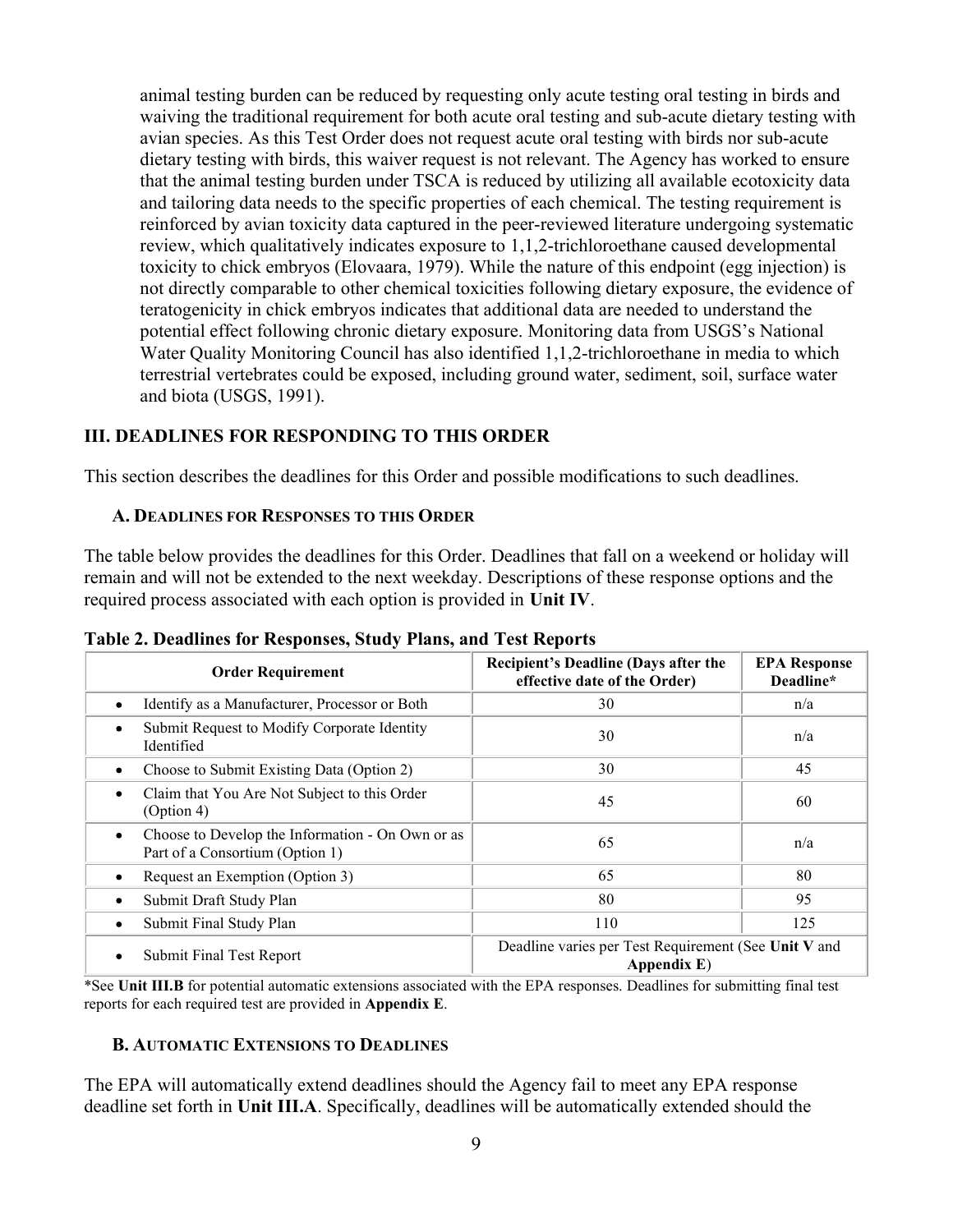animal testing burden can be reduced by requesting only acute testing oral testing in birds and waiving the traditional requirement for both acute oral testing and sub-acute dietary testing with avian species. As this Test Order does not request acute oral testing with birds nor sub-acute dietary testing with birds, this waiver request is not relevant. The Agency has worked to ensure that the animal testing burden under TSCA is reduced by utilizing all available ecotoxicity data and tailoring data needs to the specific properties of each chemical. The testing requirement is reinforced by avian toxicity data captured in the peer-reviewed literature undergoing systematic review, which qualitatively indicates exposure to 1,1,2-trichloroethane caused developmental toxicity to chick embryos (Elovaara, 1979). While the nature of this endpoint (egg injection) is not directly comparable to other chemical toxicities following dietary exposure, the evidence of teratogenicity in chick embryos indicates that additional data are needed to understand the potential effect following chronic dietary exposure. Monitoring data from USGS's National Water Quality Monitoring Council has also identified 1,1,2-trichloroethane in media to which terrestrial vertebrates could be exposed, including ground water, sediment, soil, surface water and biota (USGS, 1991).

#### III. DEADLINES FOR RESPONDING TO THIS ORDER

This section describes the deadlines for this Order and possible modifications to such deadlines.

#### A. DEADLINES FOR RESPONSES TO THIS ORDER

The table below provides the deadlines for this Order. Deadlines that fall on a weekend or holiday will remain and will not be extended to the next weekday. Descriptions of these response options and the required process associated with each option is provided in Unit IV.

| <b>Order Requirement</b>                                                                         | <b>Recipient's Deadline (Days after the</b><br>effective date of the Order) | <b>EPA Response</b><br>Deadline* |  |
|--------------------------------------------------------------------------------------------------|-----------------------------------------------------------------------------|----------------------------------|--|
| Identify as a Manufacturer, Processor or Both<br>$\bullet$                                       | 30                                                                          | n/a                              |  |
| Submit Request to Modify Corporate Identity<br>$\bullet$<br>Identified                           | 30                                                                          | n/a                              |  |
| Choose to Submit Existing Data (Option 2)<br>$\bullet$                                           | 30                                                                          | 45                               |  |
| Claim that You Are Not Subject to this Order<br>٠<br>(Option 4)                                  | 45                                                                          | 60                               |  |
| Choose to Develop the Information - On Own or as<br>$\bullet$<br>Part of a Consortium (Option 1) | 65                                                                          | n/a                              |  |
| Request an Exemption (Option 3)<br>٠                                                             | 65                                                                          | 80                               |  |
| Submit Draft Study Plan<br>٠                                                                     | 80                                                                          | 95                               |  |
| Submit Final Study Plan<br>٠                                                                     | 110                                                                         | 125                              |  |
| Submit Final Test Report<br>٠                                                                    | Deadline varies per Test Requirement (See Unit V and<br>Appendix E)         |                                  |  |

Table 2. Deadlines for Responses, Study Plans, and Test Reports

\*See Unit III.B for potential automatic extensions associated with the EPA responses. Deadlines for submitting final test reports for each required test are provided in Appendix E.

#### B. AUTOMATIC EXTENSIONS TO DEADLINES

The EPA will automatically extend deadlines should the Agency fail to meet any EPA response deadline set forth in Unit III.A. Specifically, deadlines will be automatically extended should the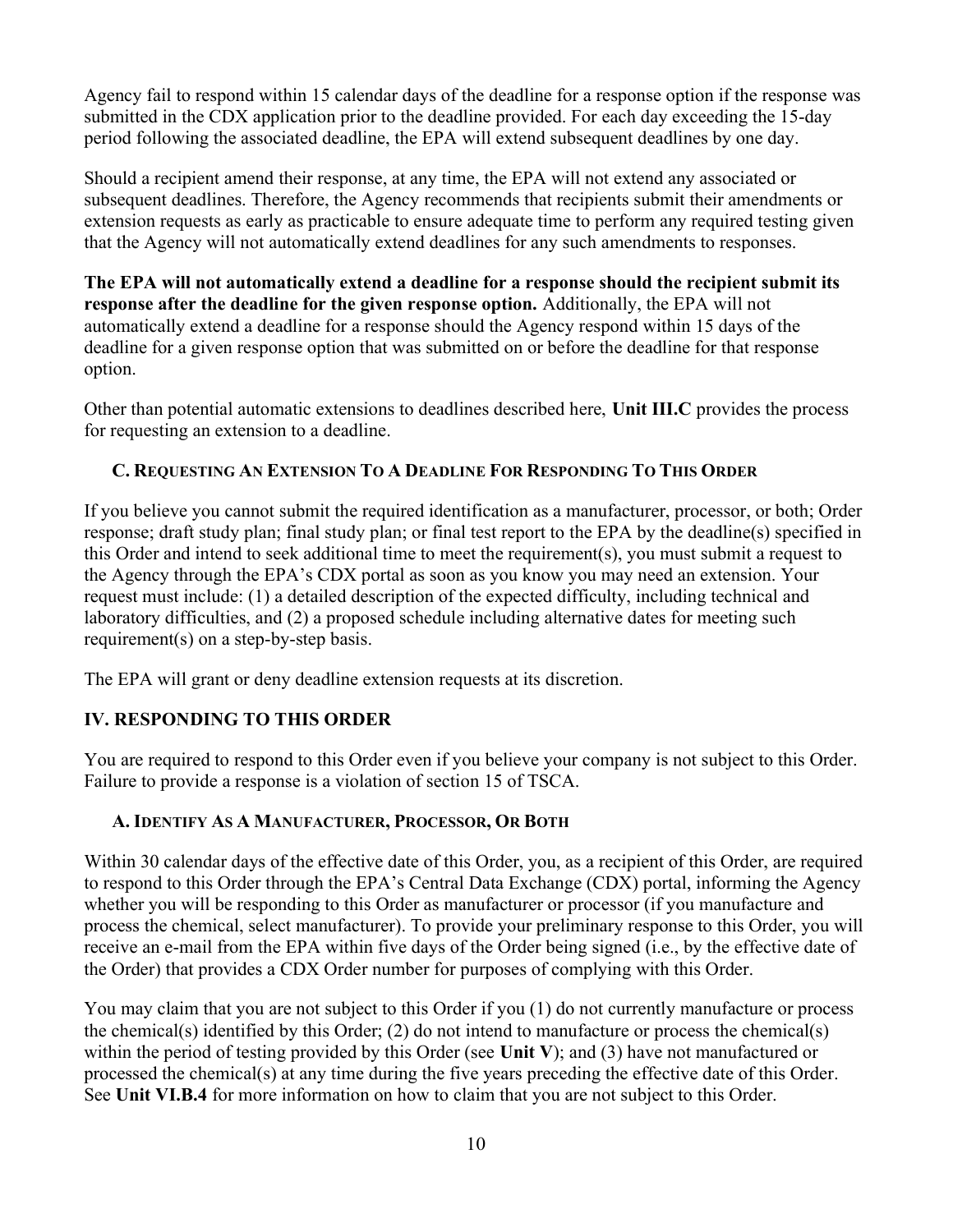Agency fail to respond within 15 calendar days of the deadline for a response option if the response was submitted in the CDX application prior to the deadline provided. For each day exceeding the 15-day period following the associated deadline, the EPA will extend subsequent deadlines by one day.

Should a recipient amend their response, at any time, the EPA will not extend any associated or subsequent deadlines. Therefore, the Agency recommends that recipients submit their amendments or extension requests as early as practicable to ensure adequate time to perform any required testing given that the Agency will not automatically extend deadlines for any such amendments to responses.

The EPA will not automatically extend a deadline for a response should the recipient submit its response after the deadline for the given response option. Additionally, the EPA will not automatically extend a deadline for a response should the Agency respond within 15 days of the deadline for a given response option that was submitted on or before the deadline for that response option.

Other than potential automatic extensions to deadlines described here, Unit III.C provides the process for requesting an extension to a deadline.

### C. REQUESTING AN EXTENSION TO A DEADLINE FOR RESPONDING TO THIS ORDER

If you believe you cannot submit the required identification as a manufacturer, processor, or both; Order response; draft study plan; final study plan; or final test report to the EPA by the deadline(s) specified in this Order and intend to seek additional time to meet the requirement(s), you must submit a request to the Agency through the EPA's CDX portal as soon as you know you may need an extension. Your request must include: (1) a detailed description of the expected difficulty, including technical and laboratory difficulties, and (2) a proposed schedule including alternative dates for meeting such requirement(s) on a step-by-step basis.

The EPA will grant or deny deadline extension requests at its discretion.

## IV. RESPONDING TO THIS ORDER

You are required to respond to this Order even if you believe your company is not subject to this Order. Failure to provide a response is a violation of section 15 of TSCA.

### A. IDENTIFY AS A MANUFACTURER, PROCESSOR, OR BOTH

Within 30 calendar days of the effective date of this Order, you, as a recipient of this Order, are required to respond to this Order through the EPA's Central Data Exchange (CDX) portal, informing the Agency whether you will be responding to this Order as manufacturer or processor (if you manufacture and process the chemical, select manufacturer). To provide your preliminary response to this Order, you will receive an e-mail from the EPA within five days of the Order being signed (i.e., by the effective date of the Order) that provides a CDX Order number for purposes of complying with this Order.

You may claim that you are not subject to this Order if you (1) do not currently manufacture or process the chemical(s) identified by this Order; (2) do not intend to manufacture or process the chemical(s) within the period of testing provided by this Order (see Unit V); and (3) have not manufactured or processed the chemical(s) at any time during the five years preceding the effective date of this Order. See Unit VI.B.4 for more information on how to claim that you are not subject to this Order.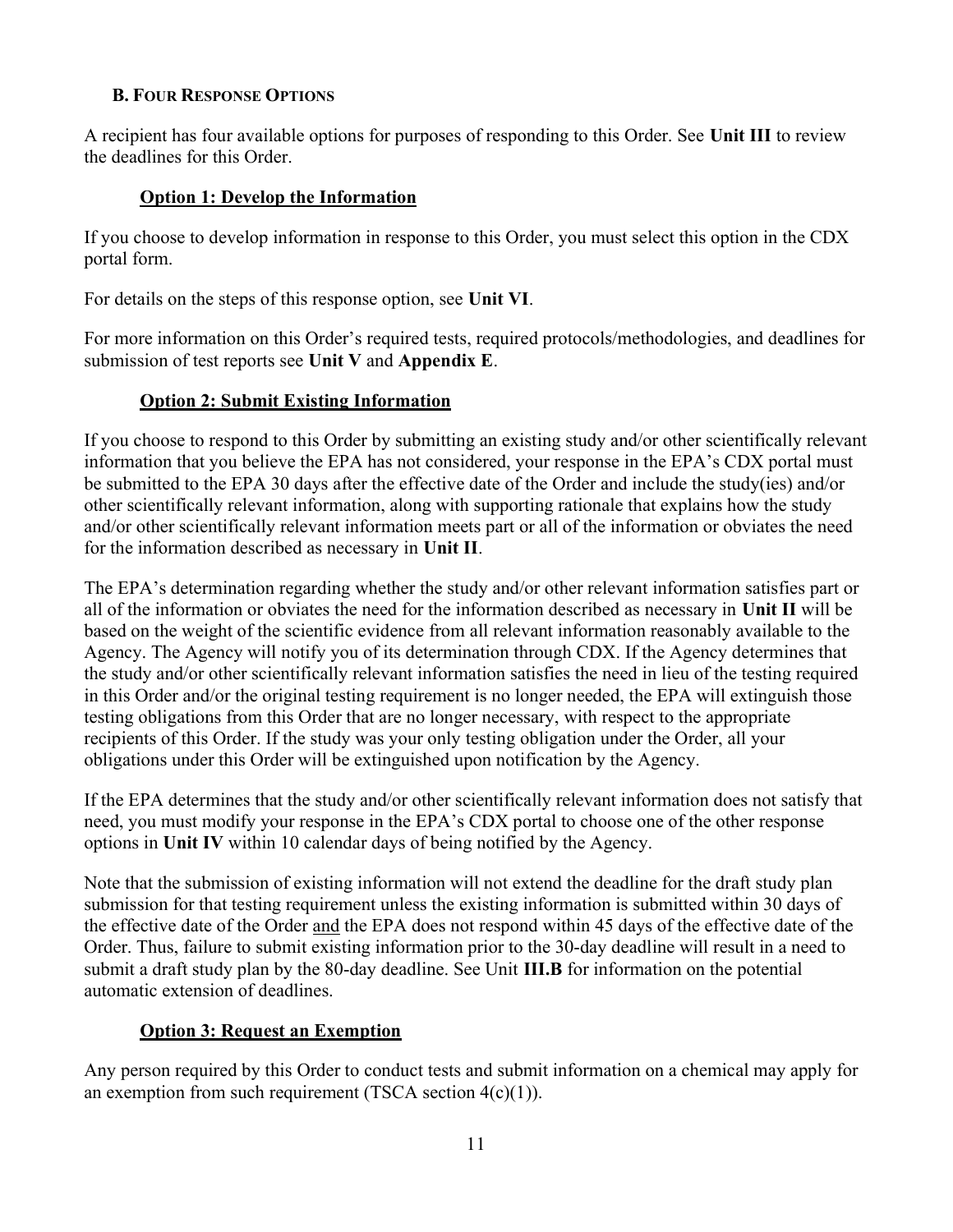### B. FOUR RESPONSE OPTIONS

A recipient has four available options for purposes of responding to this Order. See Unit III to review the deadlines for this Order.

### Option 1: Develop the Information

If you choose to develop information in response to this Order, you must select this option in the CDX portal form.

For details on the steps of this response option, see Unit VI.

For more information on this Order's required tests, required protocols/methodologies, and deadlines for submission of test reports see Unit V and Appendix E.

### Option 2: Submit Existing Information

If you choose to respond to this Order by submitting an existing study and/or other scientifically relevant information that you believe the EPA has not considered, your response in the EPA's CDX portal must be submitted to the EPA 30 days after the effective date of the Order and include the study(ies) and/or other scientifically relevant information, along with supporting rationale that explains how the study and/or other scientifically relevant information meets part or all of the information or obviates the need for the information described as necessary in Unit II.

The EPA's determination regarding whether the study and/or other relevant information satisfies part or all of the information or obviates the need for the information described as necessary in Unit II will be based on the weight of the scientific evidence from all relevant information reasonably available to the Agency. The Agency will notify you of its determination through CDX. If the Agency determines that the study and/or other scientifically relevant information satisfies the need in lieu of the testing required in this Order and/or the original testing requirement is no longer needed, the EPA will extinguish those testing obligations from this Order that are no longer necessary, with respect to the appropriate recipients of this Order. If the study was your only testing obligation under the Order, all your obligations under this Order will be extinguished upon notification by the Agency.

If the EPA determines that the study and/or other scientifically relevant information does not satisfy that need, you must modify your response in the EPA's CDX portal to choose one of the other response options in Unit IV within 10 calendar days of being notified by the Agency.

Note that the submission of existing information will not extend the deadline for the draft study plan submission for that testing requirement unless the existing information is submitted within 30 days of the effective date of the Order and the EPA does not respond within 45 days of the effective date of the Order. Thus, failure to submit existing information prior to the 30-day deadline will result in a need to submit a draft study plan by the 80-day deadline. See Unit III.B for information on the potential automatic extension of deadlines.

## Option 3: Request an Exemption

Any person required by this Order to conduct tests and submit information on a chemical may apply for an exemption from such requirement (TSCA section  $4(c)(1)$ ).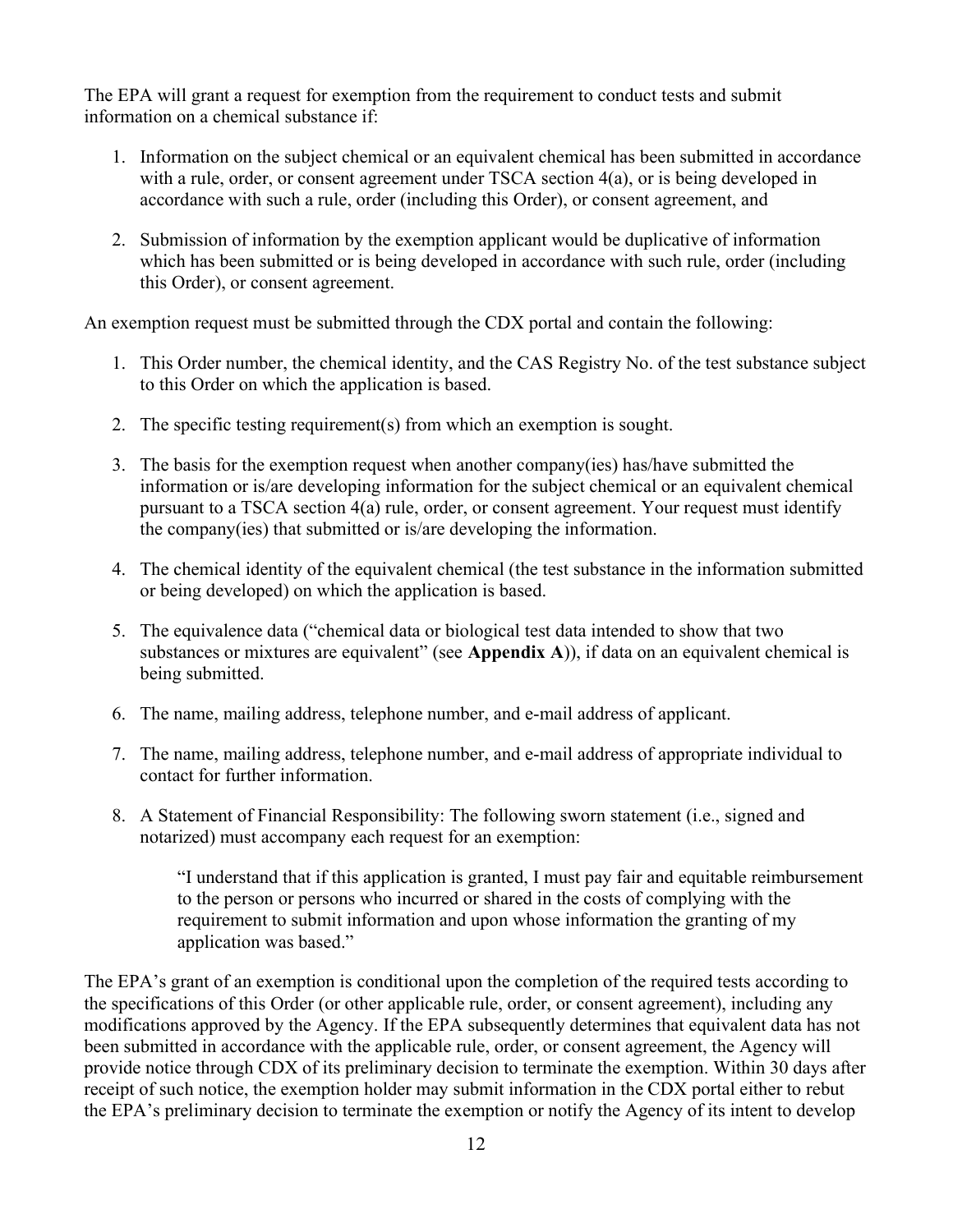The EPA will grant a request for exemption from the requirement to conduct tests and submit information on a chemical substance if:

- 1. Information on the subject chemical or an equivalent chemical has been submitted in accordance with a rule, order, or consent agreement under TSCA section 4(a), or is being developed in accordance with such a rule, order (including this Order), or consent agreement, and
- 2. Submission of information by the exemption applicant would be duplicative of information which has been submitted or is being developed in accordance with such rule, order (including this Order), or consent agreement.

An exemption request must be submitted through the CDX portal and contain the following:

- 1. This Order number, the chemical identity, and the CAS Registry No. of the test substance subject to this Order on which the application is based.
- 2. The specific testing requirement(s) from which an exemption is sought.
- 3. The basis for the exemption request when another company(ies) has/have submitted the information or is/are developing information for the subject chemical or an equivalent chemical pursuant to a TSCA section 4(a) rule, order, or consent agreement. Your request must identify the company(ies) that submitted or is/are developing the information.
- 4. The chemical identity of the equivalent chemical (the test substance in the information submitted or being developed) on which the application is based.
- 5. The equivalence data ("chemical data or biological test data intended to show that two substances or mixtures are equivalent" (see **Appendix A**)), if data on an equivalent chemical is being submitted.
- 6. The name, mailing address, telephone number, and e-mail address of applicant.
- 7. The name, mailing address, telephone number, and e-mail address of appropriate individual to contact for further information.
- 8. A Statement of Financial Responsibility: The following sworn statement (i.e., signed and notarized) must accompany each request for an exemption:

"I understand that if this application is granted, I must pay fair and equitable reimbursement to the person or persons who incurred or shared in the costs of complying with the requirement to submit information and upon whose information the granting of my application was based."

The EPA's grant of an exemption is conditional upon the completion of the required tests according to the specifications of this Order (or other applicable rule, order, or consent agreement), including any modifications approved by the Agency. If the EPA subsequently determines that equivalent data has not been submitted in accordance with the applicable rule, order, or consent agreement, the Agency will provide notice through CDX of its preliminary decision to terminate the exemption. Within 30 days after receipt of such notice, the exemption holder may submit information in the CDX portal either to rebut the EPA's preliminary decision to terminate the exemption or notify the Agency of its intent to develop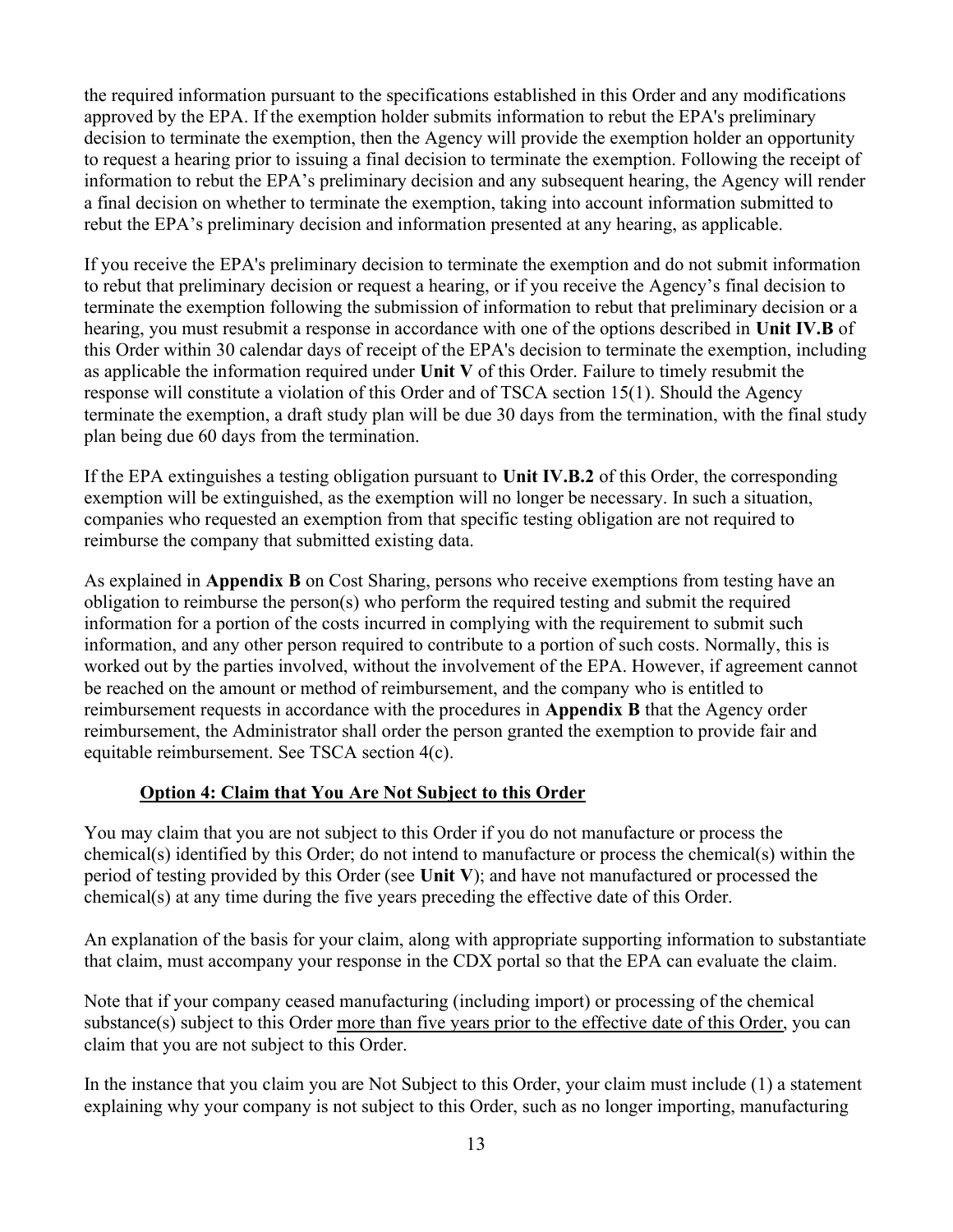the required information pursuant to the specifications established in this Order and any modifications approved by the EPA. If the exemption holder submits information to rebut the EPA's preliminary decision to terminate the exemption, then the Agency will provide the exemption holder an opportunity to request a hearing prior to issuing a final decision to terminate the exemption. Following the receipt of information to rebut the EPA's preliminary decision and any subsequent hearing, the Agency will render a final decision on whether to terminate the exemption, taking into account information submitted to rebut the EPA's preliminary decision and information presented at any hearing, as applicable.

If you receive the EPA's preliminary decision to terminate the exemption and do not submit information to rebut that preliminary decision or request a hearing, or if you receive the Agency's final decision to terminate the exemption following the submission of information to rebut that preliminary decision or a hearing, you must resubmit a response in accordance with one of the options described in Unit IV.B of this Order within 30 calendar days of receipt of the EPA's decision to terminate the exemption, including as applicable the information required under Unit V of this Order. Failure to timely resubmit the response will constitute a violation of this Order and of TSCA section 15(1). Should the Agency terminate the exemption, a draft study plan will be due 30 days from the termination, with the final study plan being due 60 days from the termination.

If the EPA extinguishes a testing obligation pursuant to Unit IV.B.2 of this Order, the corresponding exemption will be extinguished, as the exemption will no longer be necessary. In such a situation, companies who requested an exemption from that specific testing obligation are not required to reimburse the company that submitted existing data.

As explained in Appendix B on Cost Sharing, persons who receive exemptions from testing have an obligation to reimburse the person(s) who perform the required testing and submit the required information for a portion of the costs incurred in complying with the requirement to submit such information, and any other person required to contribute to a portion of such costs. Normally, this is worked out by the parties involved, without the involvement of the EPA. However, if agreement cannot be reached on the amount or method of reimbursement, and the company who is entitled to reimbursement requests in accordance with the procedures in Appendix B that the Agency order reimbursement, the Administrator shall order the person granted the exemption to provide fair and equitable reimbursement. See TSCA section 4(c).

## Option 4: Claim that You Are Not Subject to this Order

You may claim that you are not subject to this Order if you do not manufacture or process the chemical(s) identified by this Order; do not intend to manufacture or process the chemical(s) within the period of testing provided by this Order (see Unit V); and have not manufactured or processed the chemical(s) at any time during the five years preceding the effective date of this Order.

An explanation of the basis for your claim, along with appropriate supporting information to substantiate that claim, must accompany your response in the CDX portal so that the EPA can evaluate the claim.

Note that if your company ceased manufacturing (including import) or processing of the chemical substance(s) subject to this Order more than five years prior to the effective date of this Order, you can claim that you are not subject to this Order.

In the instance that you claim you are Not Subject to this Order, your claim must include (1) a statement explaining why your company is not subject to this Order, such as no longer importing, manufacturing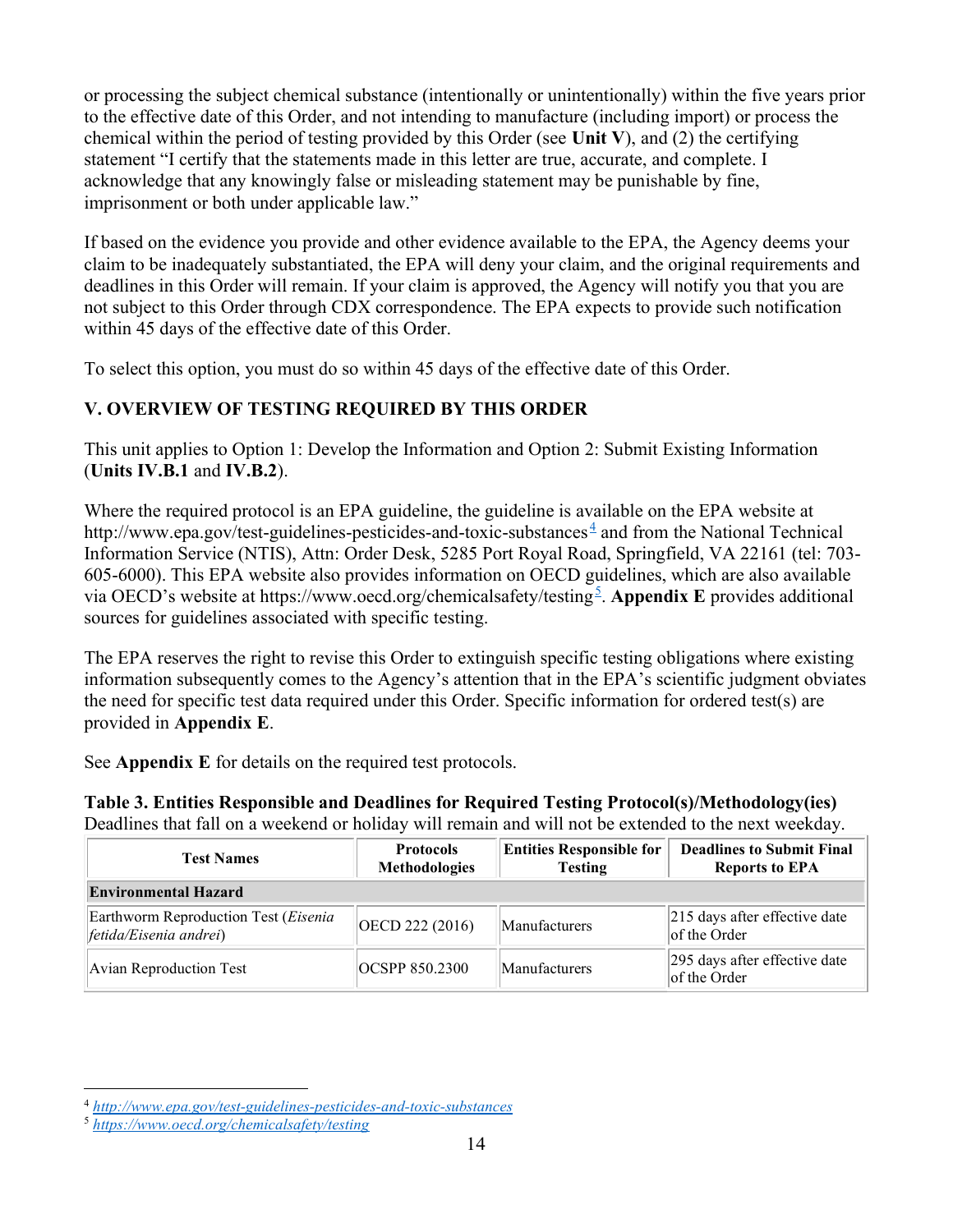or processing the subject chemical substance (intentionally or unintentionally) within the five years prior to the effective date of this Order, and not intending to manufacture (including import) or process the chemical within the period of testing provided by this Order (see Unit V), and (2) the certifying statement "I certify that the statements made in this letter are true, accurate, and complete. I acknowledge that any knowingly false or misleading statement may be punishable by fine, imprisonment or both under applicable law."

If based on the evidence you provide and other evidence available to the EPA, the Agency deems your claim to be inadequately substantiated, the EPA will deny your claim, and the original requirements and deadlines in this Order will remain. If your claim is approved, the Agency will notify you that you are not subject to this Order through CDX correspondence. The EPA expects to provide such notification within 45 days of the effective date of this Order.

To select this option, you must do so within 45 days of the effective date of this Order.

## V. OVERVIEW OF TESTING REQUIRED BY THIS ORDER

This unit applies to Option 1: Develop the Information and Option 2: Submit Existing Information (Units IV.B.1 and IV.B.2).

Where the required protocol is an EPA guideline, the guideline is available on the EPA website at http://www.epa.gov/test-guidelines-pesticides-and-toxic-substances  $\frac{4}{3}$  and from the National Technical Information Service (NTIS), Attn: Order Desk, 5285 Port Royal Road, Springfield, VA 22161 (tel: 703- 605-6000). This EPA website also provides information on OECD guidelines, which are also available via OECD's website at https://www.oecd.org/chemicalsafety/testing<sup>5</sup>. Appendix E provides additional sources for guidelines associated with specific testing.

The EPA reserves the right to revise this Order to extinguish specific testing obligations where existing information subsequently comes to the Agency's attention that in the EPA's scientific judgment obviates the need for specific test data required under this Order. Specific information for ordered test(s) are provided in Appendix E.

See Appendix E for details on the required test protocols.

Table 3. Entities Responsible and Deadlines for Required Testing Protocol(s)/Methodology(ies) Deadlines that fall on a weekend or holiday will remain and will not be extended to the next weekday.

| <b>Test Names</b>                                              | <b>Protocols</b><br><b>Methodologies</b> | <b>Entities Responsible for</b><br><b>Testing</b> | <b>Deadlines to Submit Final</b><br><b>Reports to EPA</b> |  |  |  |  |  |  |
|----------------------------------------------------------------|------------------------------------------|---------------------------------------------------|-----------------------------------------------------------|--|--|--|--|--|--|
| <b>Environmental Hazard</b>                                    |                                          |                                                   |                                                           |  |  |  |  |  |  |
| Earthworm Reproduction Test (Eisenia<br>fetida/Eisenia andrei) | OECD 222 (2016)                          | <b>Manufacturers</b>                              | 215 days after effective date<br>of the Order             |  |  |  |  |  |  |
| Avian Reproduction Test                                        | <b>OCSPP 850.2300</b>                    | <b>Manufacturers</b>                              | 295 days after effective date<br>of the Order             |  |  |  |  |  |  |

<sup>4</sup> http://www.epa.gov/test-guidelines-pesticides-and-toxic-substances

<sup>5</sup> https://www.oecd.org/chemicalsafety/testing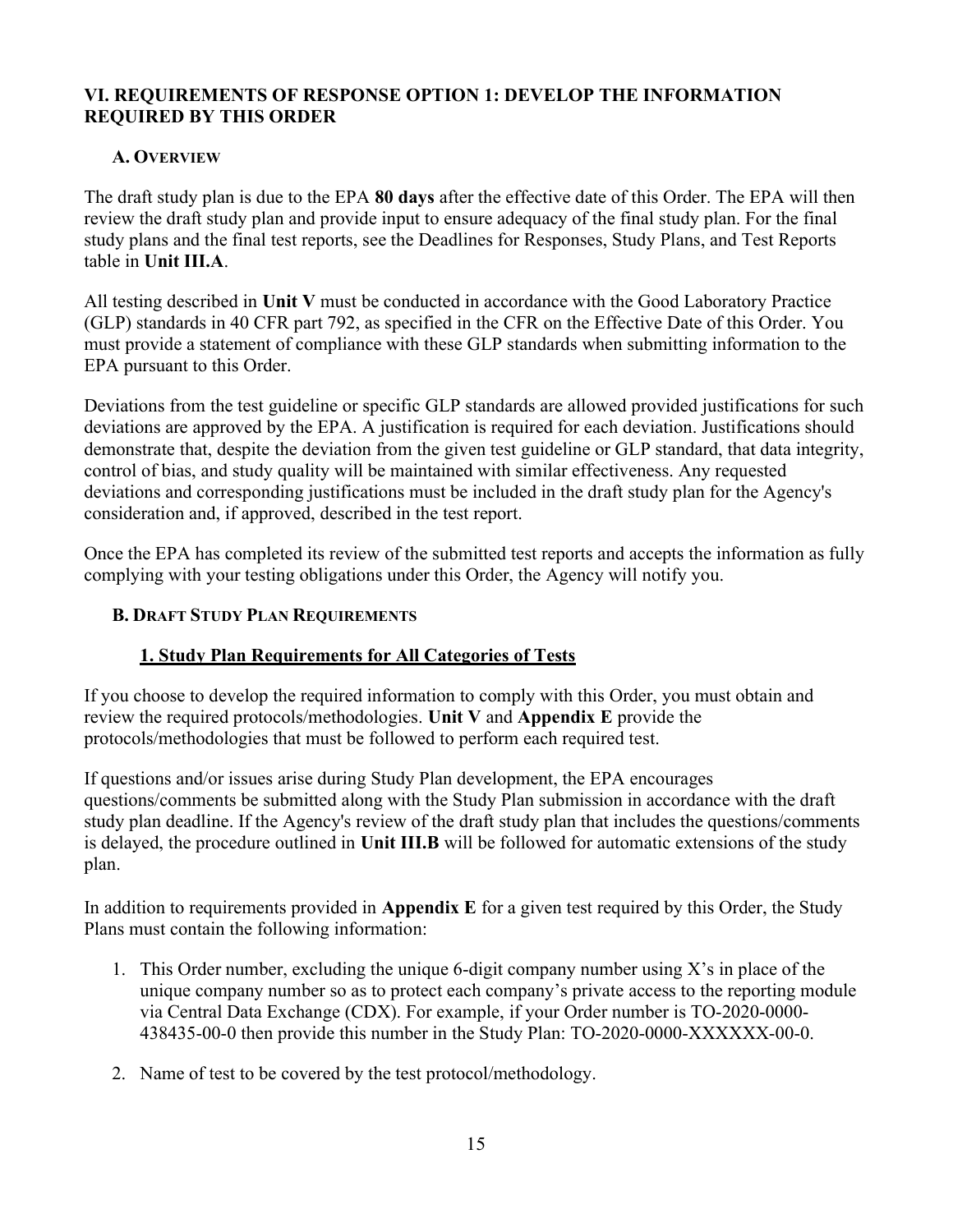### VI. REQUIREMENTS OF RESPONSE OPTION 1: DEVELOP THE INFORMATION REQUIRED BY THIS ORDER

### A. OVERVIEW

The draft study plan is due to the EPA 80 days after the effective date of this Order. The EPA will then review the draft study plan and provide input to ensure adequacy of the final study plan. For the final study plans and the final test reports, see the Deadlines for Responses, Study Plans, and Test Reports table in Unit III.A.

All testing described in Unit V must be conducted in accordance with the Good Laboratory Practice (GLP) standards in 40 CFR part 792, as specified in the CFR on the Effective Date of this Order. You must provide a statement of compliance with these GLP standards when submitting information to the EPA pursuant to this Order.

Deviations from the test guideline or specific GLP standards are allowed provided justifications for such deviations are approved by the EPA. A justification is required for each deviation. Justifications should demonstrate that, despite the deviation from the given test guideline or GLP standard, that data integrity, control of bias, and study quality will be maintained with similar effectiveness. Any requested deviations and corresponding justifications must be included in the draft study plan for the Agency's consideration and, if approved, described in the test report.

Once the EPA has completed its review of the submitted test reports and accepts the information as fully complying with your testing obligations under this Order, the Agency will notify you.

### B. DRAFT STUDY PLAN REQUIREMENTS

## 1. Study Plan Requirements for All Categories of Tests

If you choose to develop the required information to comply with this Order, you must obtain and review the required protocols/methodologies. Unit V and Appendix E provide the protocols/methodologies that must be followed to perform each required test.

If questions and/or issues arise during Study Plan development, the EPA encourages questions/comments be submitted along with the Study Plan submission in accordance with the draft study plan deadline. If the Agency's review of the draft study plan that includes the questions/comments is delayed, the procedure outlined in Unit III.B will be followed for automatic extensions of the study plan.

In addition to requirements provided in Appendix E for a given test required by this Order, the Study Plans must contain the following information:

- 1. This Order number, excluding the unique 6-digit company number using X's in place of the unique company number so as to protect each company's private access to the reporting module via Central Data Exchange (CDX). For example, if your Order number is TO-2020-0000- 438435-00-0 then provide this number in the Study Plan: TO-2020-0000-XXXXXX-00-0.
- 2. Name of test to be covered by the test protocol/methodology.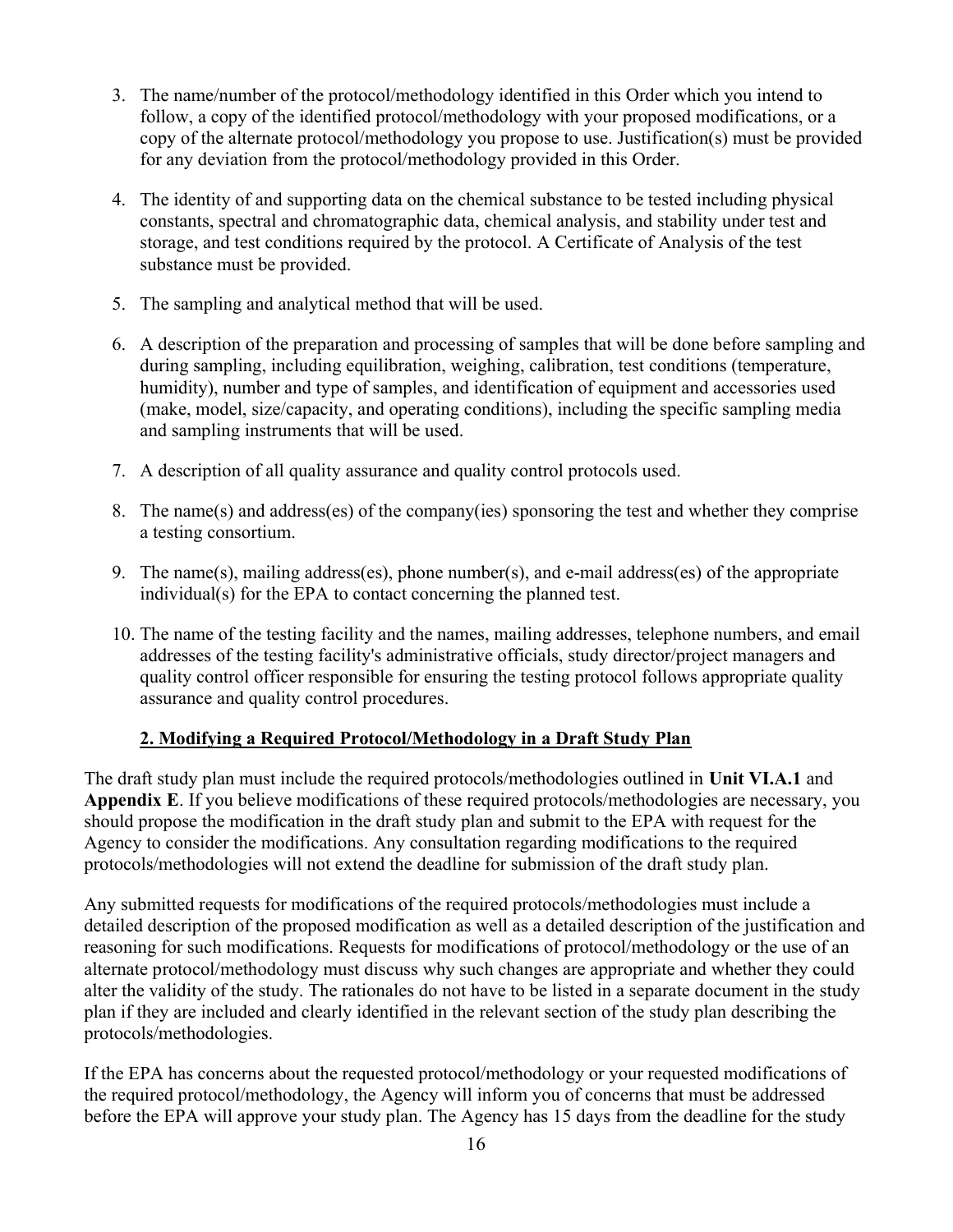- 3. The name/number of the protocol/methodology identified in this Order which you intend to follow, a copy of the identified protocol/methodology with your proposed modifications, or a copy of the alternate protocol/methodology you propose to use. Justification(s) must be provided for any deviation from the protocol/methodology provided in this Order.
- 4. The identity of and supporting data on the chemical substance to be tested including physical constants, spectral and chromatographic data, chemical analysis, and stability under test and storage, and test conditions required by the protocol. A Certificate of Analysis of the test substance must be provided.
- 5. The sampling and analytical method that will be used.
- 6. A description of the preparation and processing of samples that will be done before sampling and during sampling, including equilibration, weighing, calibration, test conditions (temperature, humidity), number and type of samples, and identification of equipment and accessories used (make, model, size/capacity, and operating conditions), including the specific sampling media and sampling instruments that will be used.
- 7. A description of all quality assurance and quality control protocols used.
- 8. The name(s) and address(es) of the company(ies) sponsoring the test and whether they comprise a testing consortium.
- 9. The name(s), mailing address(es), phone number(s), and e-mail address(es) of the appropriate individual(s) for the EPA to contact concerning the planned test.
- 10. The name of the testing facility and the names, mailing addresses, telephone numbers, and email addresses of the testing facility's administrative officials, study director/project managers and quality control officer responsible for ensuring the testing protocol follows appropriate quality assurance and quality control procedures.

### 2. Modifying a Required Protocol/Methodology in a Draft Study Plan

The draft study plan must include the required protocols/methodologies outlined in Unit VI.A.1 and Appendix E. If you believe modifications of these required protocols/methodologies are necessary, you should propose the modification in the draft study plan and submit to the EPA with request for the Agency to consider the modifications. Any consultation regarding modifications to the required protocols/methodologies will not extend the deadline for submission of the draft study plan.

Any submitted requests for modifications of the required protocols/methodologies must include a detailed description of the proposed modification as well as a detailed description of the justification and reasoning for such modifications. Requests for modifications of protocol/methodology or the use of an alternate protocol/methodology must discuss why such changes are appropriate and whether they could alter the validity of the study. The rationales do not have to be listed in a separate document in the study plan if they are included and clearly identified in the relevant section of the study plan describing the protocols/methodologies.

If the EPA has concerns about the requested protocol/methodology or your requested modifications of the required protocol/methodology, the Agency will inform you of concerns that must be addressed before the EPA will approve your study plan. The Agency has 15 days from the deadline for the study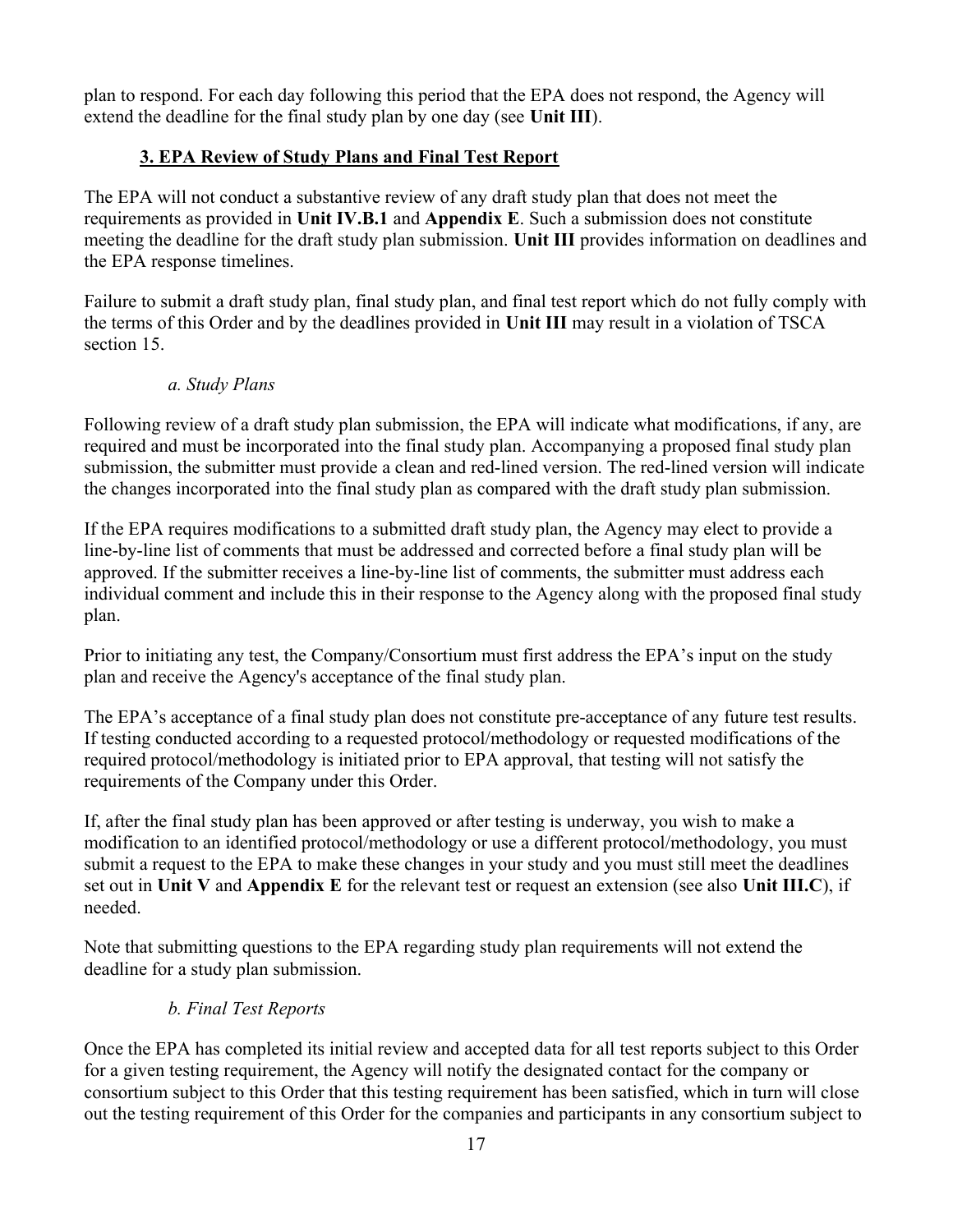plan to respond. For each day following this period that the EPA does not respond, the Agency will extend the deadline for the final study plan by one day (see Unit III).

## 3. EPA Review of Study Plans and Final Test Report

The EPA will not conduct a substantive review of any draft study plan that does not meet the requirements as provided in Unit IV.B.1 and Appendix E. Such a submission does not constitute meeting the deadline for the draft study plan submission. Unit III provides information on deadlines and the EPA response timelines.

Failure to submit a draft study plan, final study plan, and final test report which do not fully comply with the terms of this Order and by the deadlines provided in Unit III may result in a violation of TSCA section 15.

### a. Study Plans

Following review of a draft study plan submission, the EPA will indicate what modifications, if any, are required and must be incorporated into the final study plan. Accompanying a proposed final study plan submission, the submitter must provide a clean and red-lined version. The red-lined version will indicate the changes incorporated into the final study plan as compared with the draft study plan submission.

If the EPA requires modifications to a submitted draft study plan, the Agency may elect to provide a line-by-line list of comments that must be addressed and corrected before a final study plan will be approved. If the submitter receives a line-by-line list of comments, the submitter must address each individual comment and include this in their response to the Agency along with the proposed final study plan.

Prior to initiating any test, the Company/Consortium must first address the EPA's input on the study plan and receive the Agency's acceptance of the final study plan.

The EPA's acceptance of a final study plan does not constitute pre-acceptance of any future test results. If testing conducted according to a requested protocol/methodology or requested modifications of the required protocol/methodology is initiated prior to EPA approval, that testing will not satisfy the requirements of the Company under this Order.

If, after the final study plan has been approved or after testing is underway, you wish to make a modification to an identified protocol/methodology or use a different protocol/methodology, you must submit a request to the EPA to make these changes in your study and you must still meet the deadlines set out in Unit V and Appendix E for the relevant test or request an extension (see also Unit III.C), if needed.

Note that submitting questions to the EPA regarding study plan requirements will not extend the deadline for a study plan submission.

### b. Final Test Reports

Once the EPA has completed its initial review and accepted data for all test reports subject to this Order for a given testing requirement, the Agency will notify the designated contact for the company or consortium subject to this Order that this testing requirement has been satisfied, which in turn will close out the testing requirement of this Order for the companies and participants in any consortium subject to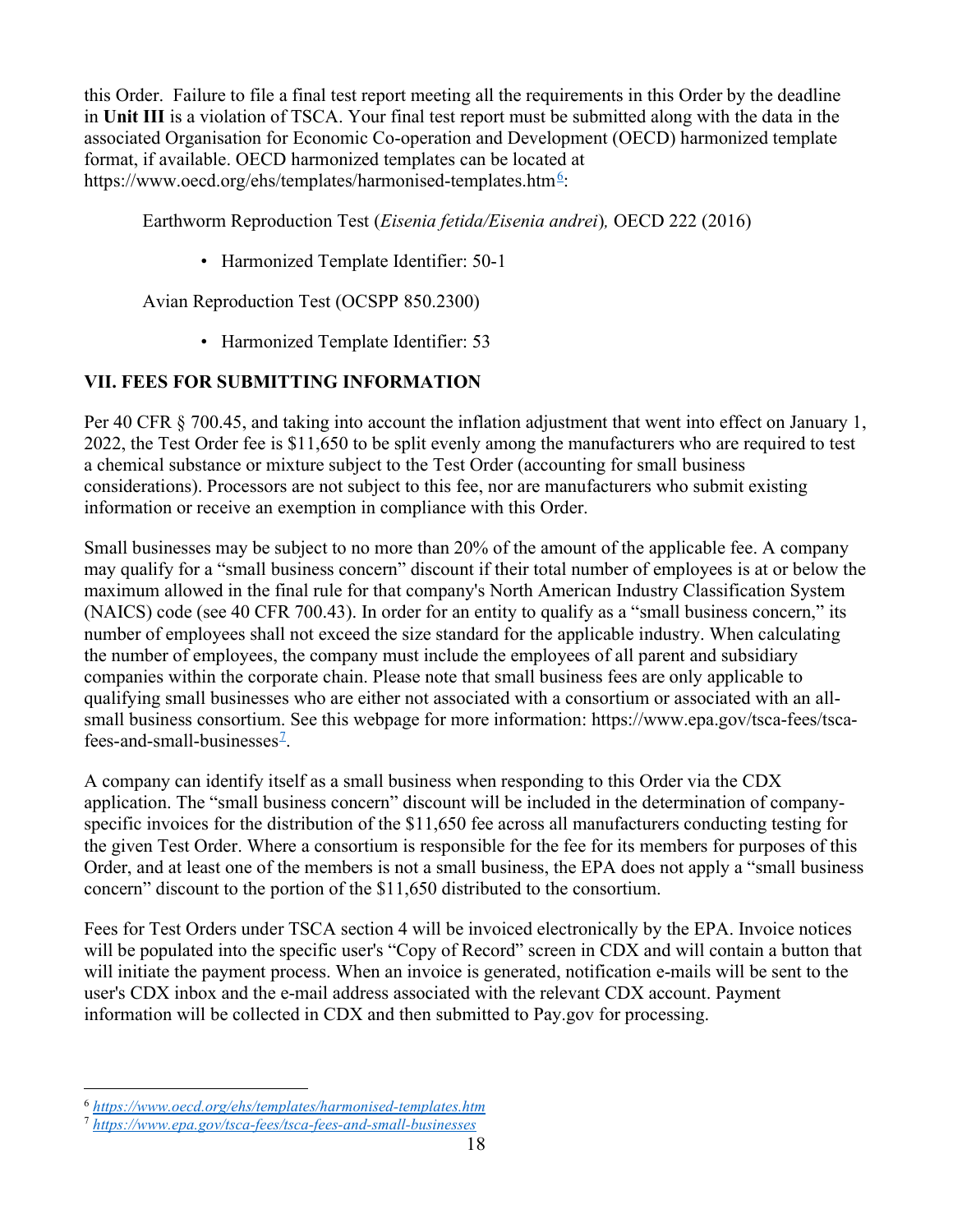this Order. Failure to file a final test report meeting all the requirements in this Order by the deadline in Unit III is a violation of TSCA. Your final test report must be submitted along with the data in the associated Organisation for Economic Co-operation and Development (OECD) harmonized template format, if available. OECD harmonized templates can be located at https://www.oecd.org/ehs/templates/harmonised-templates.htm<sup>6</sup>:

Earthworm Reproduction Test (Eisenia fetida/Eisenia andrei), OECD 222 (2016)

• Harmonized Template Identifier: 50-1

Avian Reproduction Test (OCSPP 850.2300)

• Harmonized Template Identifier: 53

## VII. FEES FOR SUBMITTING INFORMATION

Per 40 CFR § 700.45, and taking into account the inflation adjustment that went into effect on January 1, 2022, the Test Order fee is \$11,650 to be split evenly among the manufacturers who are required to test a chemical substance or mixture subject to the Test Order (accounting for small business considerations). Processors are not subject to this fee, nor are manufacturers who submit existing information or receive an exemption in compliance with this Order.

Small businesses may be subject to no more than 20% of the amount of the applicable fee. A company may qualify for a "small business concern" discount if their total number of employees is at or below the maximum allowed in the final rule for that company's North American Industry Classification System (NAICS) code (see 40 CFR 700.43). In order for an entity to qualify as a "small business concern," its number of employees shall not exceed the size standard for the applicable industry. When calculating the number of employees, the company must include the employees of all parent and subsidiary companies within the corporate chain. Please note that small business fees are only applicable to qualifying small businesses who are either not associated with a consortium or associated with an allsmall business consortium. See this webpage for more information: https://www.epa.gov/tsca-fees/tscafees-and-small-businesses<sup> $2$ </sup>.

A company can identify itself as a small business when responding to this Order via the CDX application. The "small business concern" discount will be included in the determination of companyspecific invoices for the distribution of the \$11,650 fee across all manufacturers conducting testing for the given Test Order. Where a consortium is responsible for the fee for its members for purposes of this Order, and at least one of the members is not a small business, the EPA does not apply a "small business concern" discount to the portion of the \$11,650 distributed to the consortium.

Fees for Test Orders under TSCA section 4 will be invoiced electronically by the EPA. Invoice notices will be populated into the specific user's "Copy of Record" screen in CDX and will contain a button that will initiate the payment process. When an invoice is generated, notification e-mails will be sent to the user's CDX inbox and the e-mail address associated with the relevant CDX account. Payment information will be collected in CDX and then submitted to Pay.gov for processing.

<sup>6</sup> https://www.oecd.org/ehs/templates/harmonised-templates.htm

<sup>7</sup> https://www.epa.gov/tsca-fees/tsca-fees-and-small-businesses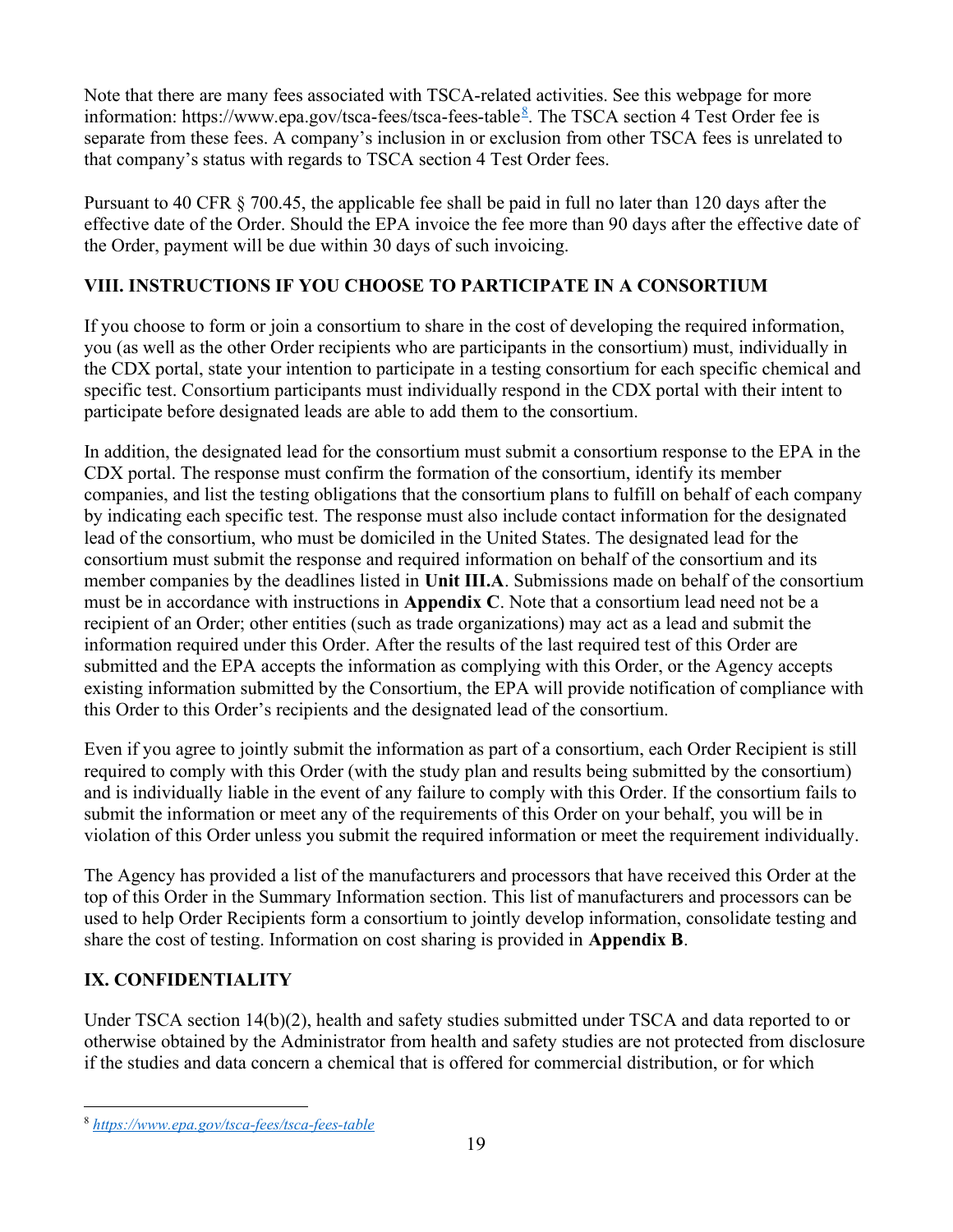Note that there are many fees associated with TSCA-related activities. See this webpage for more information: https://www.epa.gov/tsca-fees/tsca-fees-table  $\frac{8}{5}$ . The TSCA section 4 Test Order fee is separate from these fees. A company's inclusion in or exclusion from other TSCA fees is unrelated to that company's status with regards to TSCA section 4 Test Order fees.

Pursuant to 40 CFR § 700.45, the applicable fee shall be paid in full no later than 120 days after the effective date of the Order. Should the EPA invoice the fee more than 90 days after the effective date of the Order, payment will be due within 30 days of such invoicing.

## VIII. INSTRUCTIONS IF YOU CHOOSE TO PARTICIPATE IN A CONSORTIUM

If you choose to form or join a consortium to share in the cost of developing the required information, you (as well as the other Order recipients who are participants in the consortium) must, individually in the CDX portal, state your intention to participate in a testing consortium for each specific chemical and specific test. Consortium participants must individually respond in the CDX portal with their intent to participate before designated leads are able to add them to the consortium.

In addition, the designated lead for the consortium must submit a consortium response to the EPA in the CDX portal. The response must confirm the formation of the consortium, identify its member companies, and list the testing obligations that the consortium plans to fulfill on behalf of each company by indicating each specific test. The response must also include contact information for the designated lead of the consortium, who must be domiciled in the United States. The designated lead for the consortium must submit the response and required information on behalf of the consortium and its member companies by the deadlines listed in Unit III.A. Submissions made on behalf of the consortium must be in accordance with instructions in Appendix C. Note that a consortium lead need not be a recipient of an Order; other entities (such as trade organizations) may act as a lead and submit the information required under this Order. After the results of the last required test of this Order are submitted and the EPA accepts the information as complying with this Order, or the Agency accepts existing information submitted by the Consortium, the EPA will provide notification of compliance with this Order to this Order's recipients and the designated lead of the consortium.

Even if you agree to jointly submit the information as part of a consortium, each Order Recipient is still required to comply with this Order (with the study plan and results being submitted by the consortium) and is individually liable in the event of any failure to comply with this Order. If the consortium fails to submit the information or meet any of the requirements of this Order on your behalf, you will be in violation of this Order unless you submit the required information or meet the requirement individually.

The Agency has provided a list of the manufacturers and processors that have received this Order at the top of this Order in the Summary Information section. This list of manufacturers and processors can be used to help Order Recipients form a consortium to jointly develop information, consolidate testing and share the cost of testing. Information on cost sharing is provided in Appendix B.

## IX. CONFIDENTIALITY

Under TSCA section 14(b)(2), health and safety studies submitted under TSCA and data reported to or otherwise obtained by the Administrator from health and safety studies are not protected from disclosure if the studies and data concern a chemical that is offered for commercial distribution, or for which

<sup>8</sup> https://www.epa.gov/tsca-fees/tsca-fees-table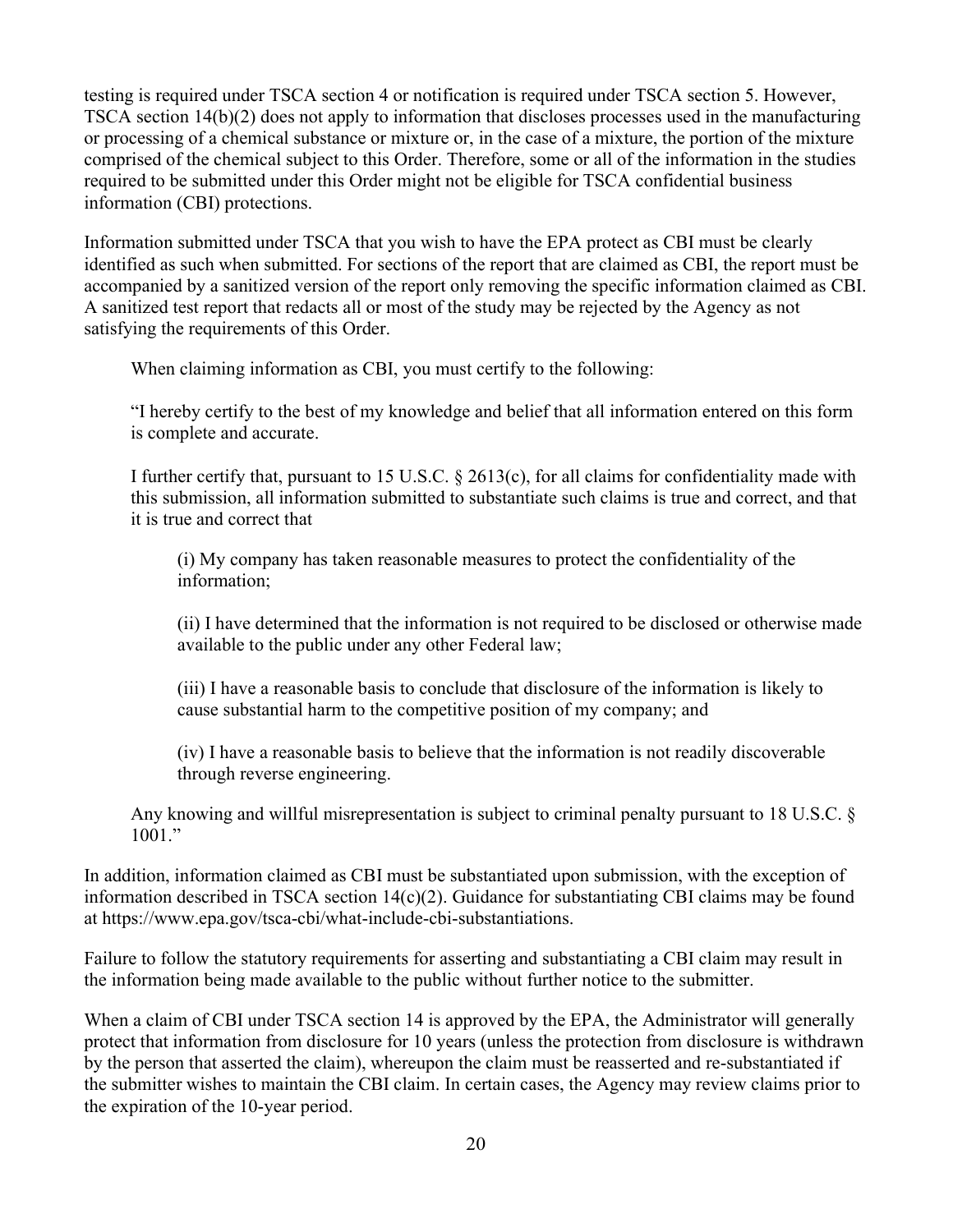testing is required under TSCA section 4 or notification is required under TSCA section 5. However, TSCA section 14(b)(2) does not apply to information that discloses processes used in the manufacturing or processing of a chemical substance or mixture or, in the case of a mixture, the portion of the mixture comprised of the chemical subject to this Order. Therefore, some or all of the information in the studies required to be submitted under this Order might not be eligible for TSCA confidential business information (CBI) protections.

Information submitted under TSCA that you wish to have the EPA protect as CBI must be clearly identified as such when submitted. For sections of the report that are claimed as CBI, the report must be accompanied by a sanitized version of the report only removing the specific information claimed as CBI. A sanitized test report that redacts all or most of the study may be rejected by the Agency as not satisfying the requirements of this Order.

When claiming information as CBI, you must certify to the following:

"I hereby certify to the best of my knowledge and belief that all information entered on this form is complete and accurate.

I further certify that, pursuant to 15 U.S.C. § 2613(c), for all claims for confidentiality made with this submission, all information submitted to substantiate such claims is true and correct, and that it is true and correct that

(i) My company has taken reasonable measures to protect the confidentiality of the information;

(ii) I have determined that the information is not required to be disclosed or otherwise made available to the public under any other Federal law;

(iii) I have a reasonable basis to conclude that disclosure of the information is likely to cause substantial harm to the competitive position of my company; and

(iv) I have a reasonable basis to believe that the information is not readily discoverable through reverse engineering.

Any knowing and willful misrepresentation is subject to criminal penalty pursuant to 18 U.S.C. §  $1001.$ "

In addition, information claimed as CBI must be substantiated upon submission, with the exception of information described in TSCA section 14(c)(2). Guidance for substantiating CBI claims may be found at https://www.epa.gov/tsca-cbi/what-include-cbi-substantiations.

Failure to follow the statutory requirements for asserting and substantiating a CBI claim may result in the information being made available to the public without further notice to the submitter.

When a claim of CBI under TSCA section 14 is approved by the EPA, the Administrator will generally protect that information from disclosure for 10 years (unless the protection from disclosure is withdrawn by the person that asserted the claim), whereupon the claim must be reasserted and re-substantiated if the submitter wishes to maintain the CBI claim. In certain cases, the Agency may review claims prior to the expiration of the 10-year period.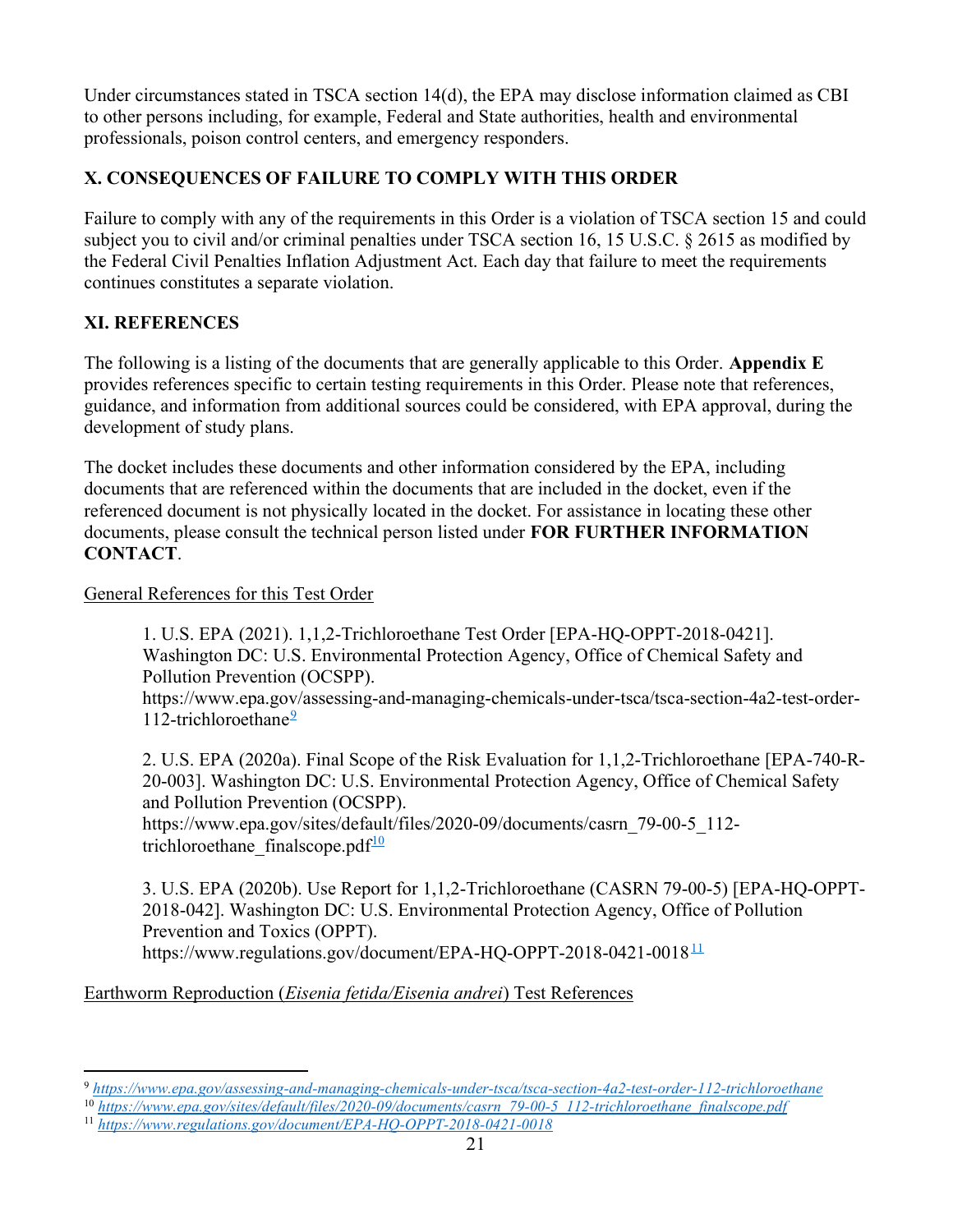Under circumstances stated in TSCA section 14(d), the EPA may disclose information claimed as CBI to other persons including, for example, Federal and State authorities, health and environmental professionals, poison control centers, and emergency responders.

## X. CONSEQUENCES OF FAILURE TO COMPLY WITH THIS ORDER

Failure to comply with any of the requirements in this Order is a violation of TSCA section 15 and could subject you to civil and/or criminal penalties under TSCA section 16, 15 U.S.C. § 2615 as modified by the Federal Civil Penalties Inflation Adjustment Act. Each day that failure to meet the requirements continues constitutes a separate violation.

## XI. REFERENCES

The following is a listing of the documents that are generally applicable to this Order. Appendix E provides references specific to certain testing requirements in this Order. Please note that references, guidance, and information from additional sources could be considered, with EPA approval, during the development of study plans.

The docket includes these documents and other information considered by the EPA, including documents that are referenced within the documents that are included in the docket, even if the referenced document is not physically located in the docket. For assistance in locating these other documents, please consult the technical person listed under FOR FURTHER INFORMATION CONTACT.

General References for this Test Order

1. U.S. EPA (2021). 1,1,2-Trichloroethane Test Order [EPA-HQ-OPPT-2018-0421]. Washington DC: U.S. Environmental Protection Agency, Office of Chemical Safety and Pollution Prevention (OCSPP).

https://www.epa.gov/assessing-and-managing-chemicals-under-tsca/tsca-section-4a2-test-order-112-trichloroethane $\frac{9}{2}$ 

2. U.S. EPA (2020a). Final Scope of the Risk Evaluation for 1,1,2-Trichloroethane [EPA-740-R-20-003]. Washington DC: U.S. Environmental Protection Agency, Office of Chemical Safety and Pollution Prevention (OCSPP).

https://www.epa.gov/sites/default/files/2020-09/documents/casrn\_79-00-5\_112 trichloroethane finalscope.pdf $10$ 

3. U.S. EPA (2020b). Use Report for 1,1,2-Trichloroethane (CASRN 79-00-5) [EPA-HQ-OPPT-2018-042]. Washington DC: U.S. Environmental Protection Agency, Office of Pollution Prevention and Toxics (OPPT). https://www.regulations.gov/document/EPA-HQ-OPPT-2018-0421-0018<sup>11</sup>

Earthworm Reproduction (Eisenia fetida/Eisenia andrei) Test References

<sup>9</sup> https://www.epa.gov/assessing-and-managing-chemicals-under-tsca/tsca-section-4a2-test-order-112-trichloroethane

<sup>&</sup>lt;sup>10</sup> https://www.epa.gov/sites/default/files/2020-09/documents/casrn\_79-00-5\_112-trichloroethane\_finalscope.pdf

<sup>11</sup> https://www.regulations.gov/document/EPA-HQ-OPPT-2018-0421-0018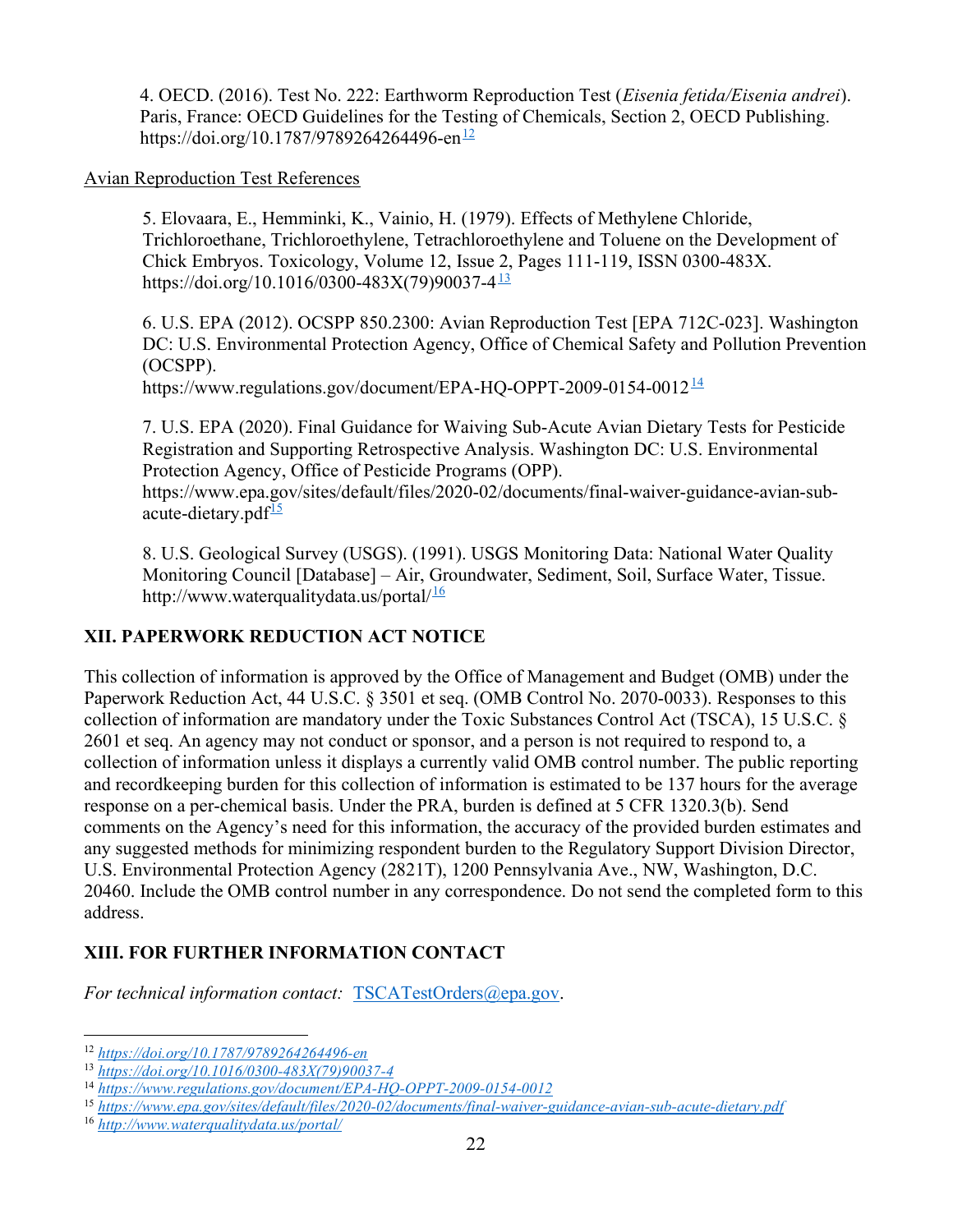4. OECD. (2016). Test No. 222: Earthworm Reproduction Test (Eisenia fetida/Eisenia andrei). Paris, France: OECD Guidelines for the Testing of Chemicals, Section 2, OECD Publishing. https://doi.org/10.1787/9789264264496-en $\frac{12}{2}$ 

#### Avian Reproduction Test References

5. Elovaara, E., Hemminki, K., Vainio, H. (1979). Effects of Methylene Chloride, Trichloroethane, Trichloroethylene, Tetrachloroethylene and Toluene on the Development of Chick Embryos. Toxicology, Volume 12, Issue 2, Pages 111-119, ISSN 0300-483X. https://doi.org/10.1016/0300-483X(79)90037-4 $\frac{13}{12}$ 

6. U.S. EPA (2012). OCSPP 850.2300: Avian Reproduction Test [EPA 712C-023]. Washington DC: U.S. Environmental Protection Agency, Office of Chemical Safety and Pollution Prevention (OCSPP).

https://www.regulations.gov/document/EPA-HQ-OPPT-2009-0154-0012 $\frac{14}{1}$ 

7. U.S. EPA (2020). Final Guidance for Waiving Sub-Acute Avian Dietary Tests for Pesticide Registration and Supporting Retrospective Analysis. Washington DC: U.S. Environmental Protection Agency, Office of Pesticide Programs (OPP). https://www.epa.gov/sites/default/files/2020-02/documents/final-waiver-guidance-avian-sub-

acute-dietary.pd $f^{\frac{15}{2}}$ 

8. U.S. Geological Survey (USGS). (1991). USGS Monitoring Data: National Water Quality Monitoring Council [Database] – Air, Groundwater, Sediment, Soil, Surface Water, Tissue. http://www.waterqualitydata.us/portal $1/16$ 

## XII. PAPERWORK REDUCTION ACT NOTICE

This collection of information is approved by the Office of Management and Budget (OMB) under the Paperwork Reduction Act, 44 U.S.C. § 3501 et seq. (OMB Control No. 2070-0033). Responses to this collection of information are mandatory under the Toxic Substances Control Act (TSCA), 15 U.S.C. § 2601 et seq. An agency may not conduct or sponsor, and a person is not required to respond to, a collection of information unless it displays a currently valid OMB control number. The public reporting and recordkeeping burden for this collection of information is estimated to be 137 hours for the average response on a per-chemical basis. Under the PRA, burden is defined at 5 CFR 1320.3(b). Send comments on the Agency's need for this information, the accuracy of the provided burden estimates and any suggested methods for minimizing respondent burden to the Regulatory Support Division Director, U.S. Environmental Protection Agency (2821T), 1200 Pennsylvania Ave., NW, Washington, D.C. 20460. Include the OMB control number in any correspondence. Do not send the completed form to this address.

## XIII. FOR FURTHER INFORMATION CONTACT

For technical information contact: TSCATestOrders@epa.gov.

<sup>12</sup> https://doi.org/10.1787/9789264264496-en

<sup>13</sup> https://doi.org/10.1016/0300-483X(79)90037-4

<sup>14</sup> https://www.regulations.gov/document/EPA-HQ-OPPT-2009-0154-0012

<sup>15</sup> https://www.epa.gov/sites/default/files/2020-02/documents/final-waiver-guidance-avian-sub-acute-dietary.pdf

<sup>16</sup> http://www.waterqualitydata.us/portal/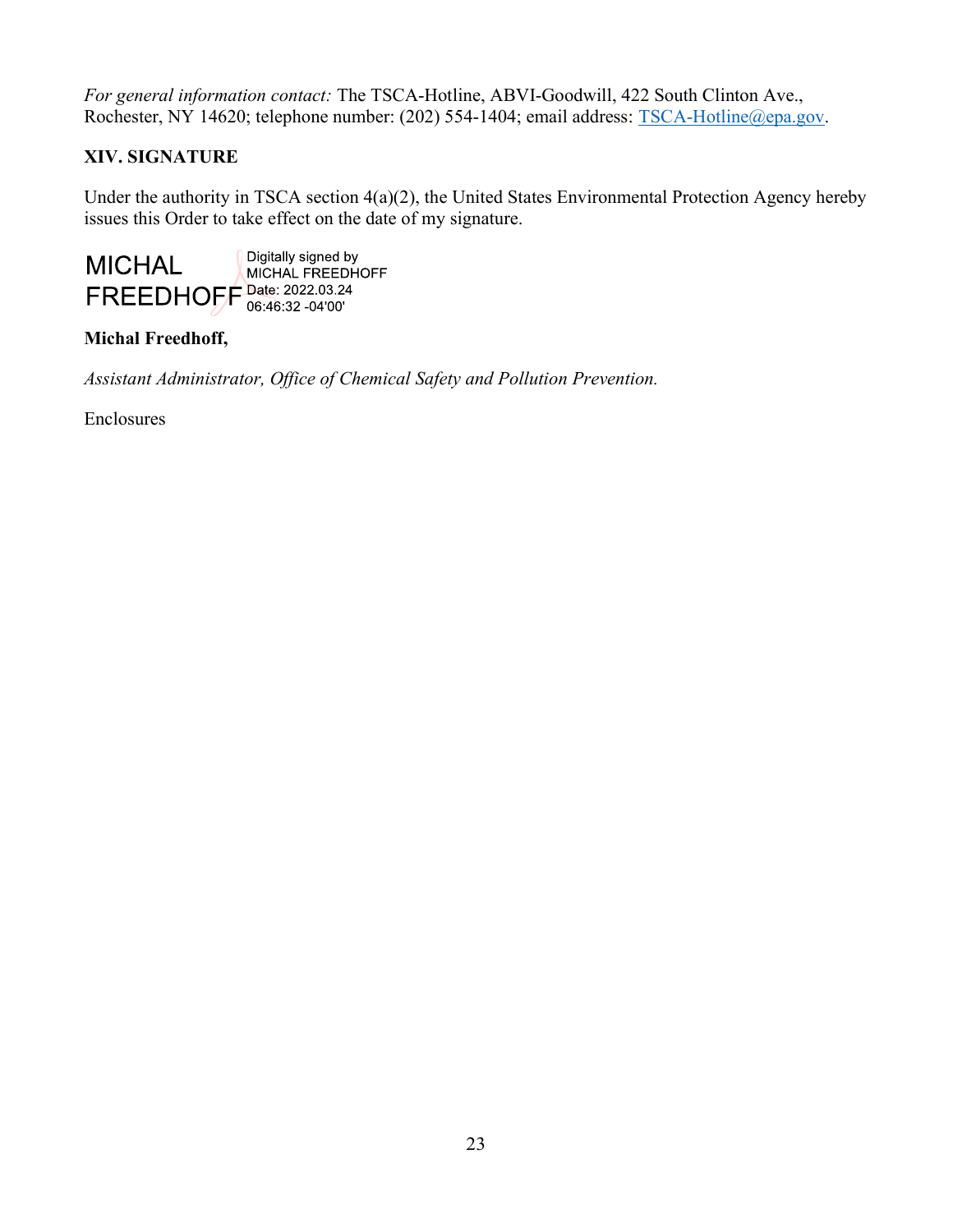For general information contact: The TSCA-Hotline, ABVI-Goodwill, 422 South Clinton Ave., Rochester, NY 14620; telephone number: (202) 554-1404; email address: TSCA-Hotline@epa.gov.

## XIV. SIGNATURE

Under the authority in TSCA section 4(a)(2), the United States Environmental Protection Agency hereby issues this Order to take effect on the date of my signature.



## Michal Freedhoff,

Assistant Administrator, Office of Chemical Safety and Pollution Prevention.

Enclosures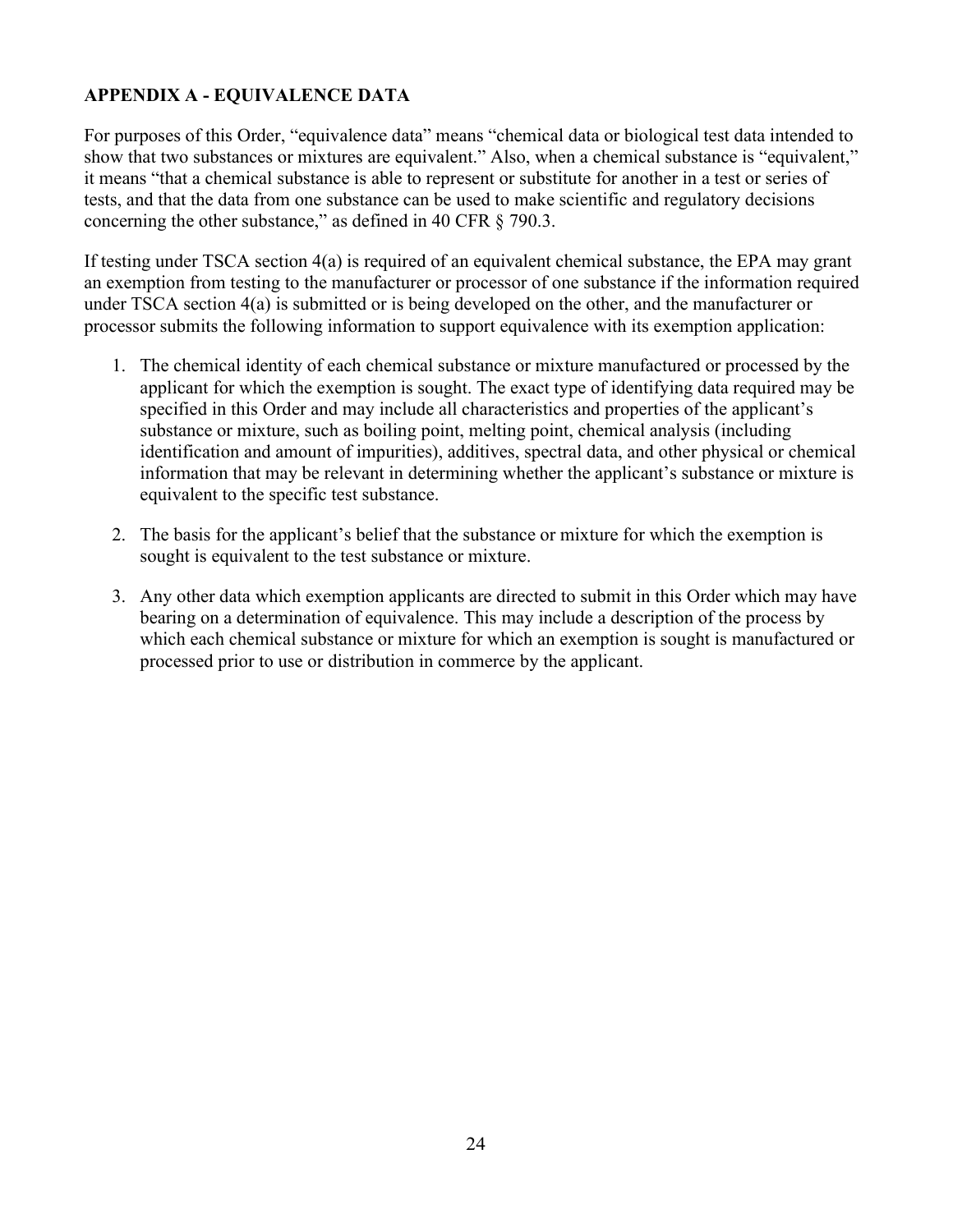## APPENDIX A - EQUIVALENCE DATA

For purposes of this Order, "equivalence data" means "chemical data or biological test data intended to show that two substances or mixtures are equivalent." Also, when a chemical substance is "equivalent," it means "that a chemical substance is able to represent or substitute for another in a test or series of tests, and that the data from one substance can be used to make scientific and regulatory decisions concerning the other substance," as defined in 40 CFR § 790.3.

If testing under TSCA section 4(a) is required of an equivalent chemical substance, the EPA may grant an exemption from testing to the manufacturer or processor of one substance if the information required under TSCA section 4(a) is submitted or is being developed on the other, and the manufacturer or processor submits the following information to support equivalence with its exemption application:

- 1. The chemical identity of each chemical substance or mixture manufactured or processed by the applicant for which the exemption is sought. The exact type of identifying data required may be specified in this Order and may include all characteristics and properties of the applicant's substance or mixture, such as boiling point, melting point, chemical analysis (including identification and amount of impurities), additives, spectral data, and other physical or chemical information that may be relevant in determining whether the applicant's substance or mixture is equivalent to the specific test substance.
- 2. The basis for the applicant's belief that the substance or mixture for which the exemption is sought is equivalent to the test substance or mixture.
- 3. Any other data which exemption applicants are directed to submit in this Order which may have bearing on a determination of equivalence. This may include a description of the process by which each chemical substance or mixture for which an exemption is sought is manufactured or processed prior to use or distribution in commerce by the applicant.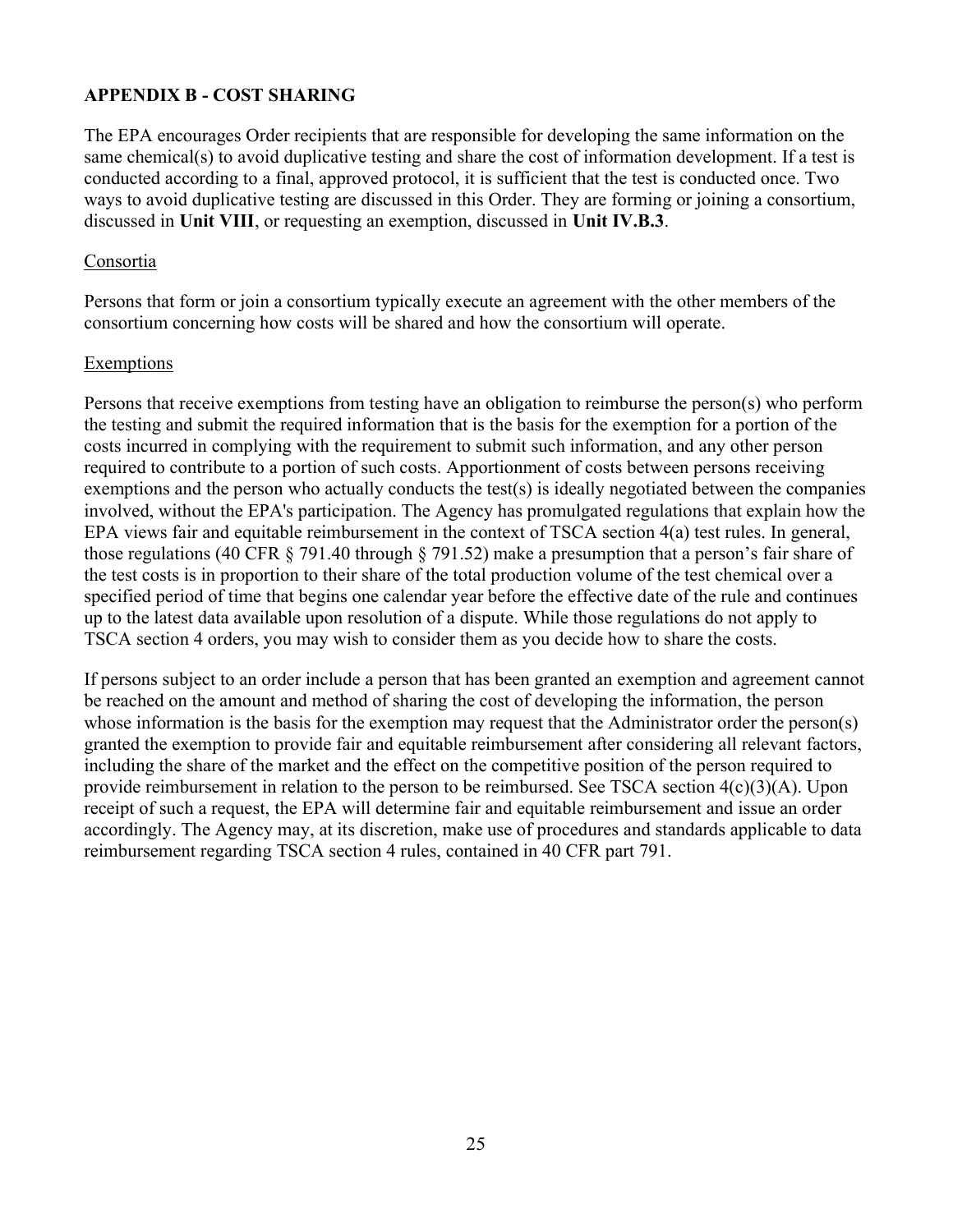### APPENDIX B - COST SHARING

The EPA encourages Order recipients that are responsible for developing the same information on the same chemical(s) to avoid duplicative testing and share the cost of information development. If a test is conducted according to a final, approved protocol, it is sufficient that the test is conducted once. Two ways to avoid duplicative testing are discussed in this Order. They are forming or joining a consortium, discussed in Unit VIII, or requesting an exemption, discussed in Unit IV.B.3.

#### Consortia

Persons that form or join a consortium typically execute an agreement with the other members of the consortium concerning how costs will be shared and how the consortium will operate.

#### Exemptions

Persons that receive exemptions from testing have an obligation to reimburse the person(s) who perform the testing and submit the required information that is the basis for the exemption for a portion of the costs incurred in complying with the requirement to submit such information, and any other person required to contribute to a portion of such costs. Apportionment of costs between persons receiving exemptions and the person who actually conducts the test(s) is ideally negotiated between the companies involved, without the EPA's participation. The Agency has promulgated regulations that explain how the EPA views fair and equitable reimbursement in the context of TSCA section 4(a) test rules. In general, those regulations (40 CFR § 791.40 through § 791.52) make a presumption that a person's fair share of the test costs is in proportion to their share of the total production volume of the test chemical over a specified period of time that begins one calendar year before the effective date of the rule and continues up to the latest data available upon resolution of a dispute. While those regulations do not apply to TSCA section 4 orders, you may wish to consider them as you decide how to share the costs.

If persons subject to an order include a person that has been granted an exemption and agreement cannot be reached on the amount and method of sharing the cost of developing the information, the person whose information is the basis for the exemption may request that the Administrator order the person(s) granted the exemption to provide fair and equitable reimbursement after considering all relevant factors, including the share of the market and the effect on the competitive position of the person required to provide reimbursement in relation to the person to be reimbursed. See TSCA section 4(c)(3)(A). Upon receipt of such a request, the EPA will determine fair and equitable reimbursement and issue an order accordingly. The Agency may, at its discretion, make use of procedures and standards applicable to data reimbursement regarding TSCA section 4 rules, contained in 40 CFR part 791.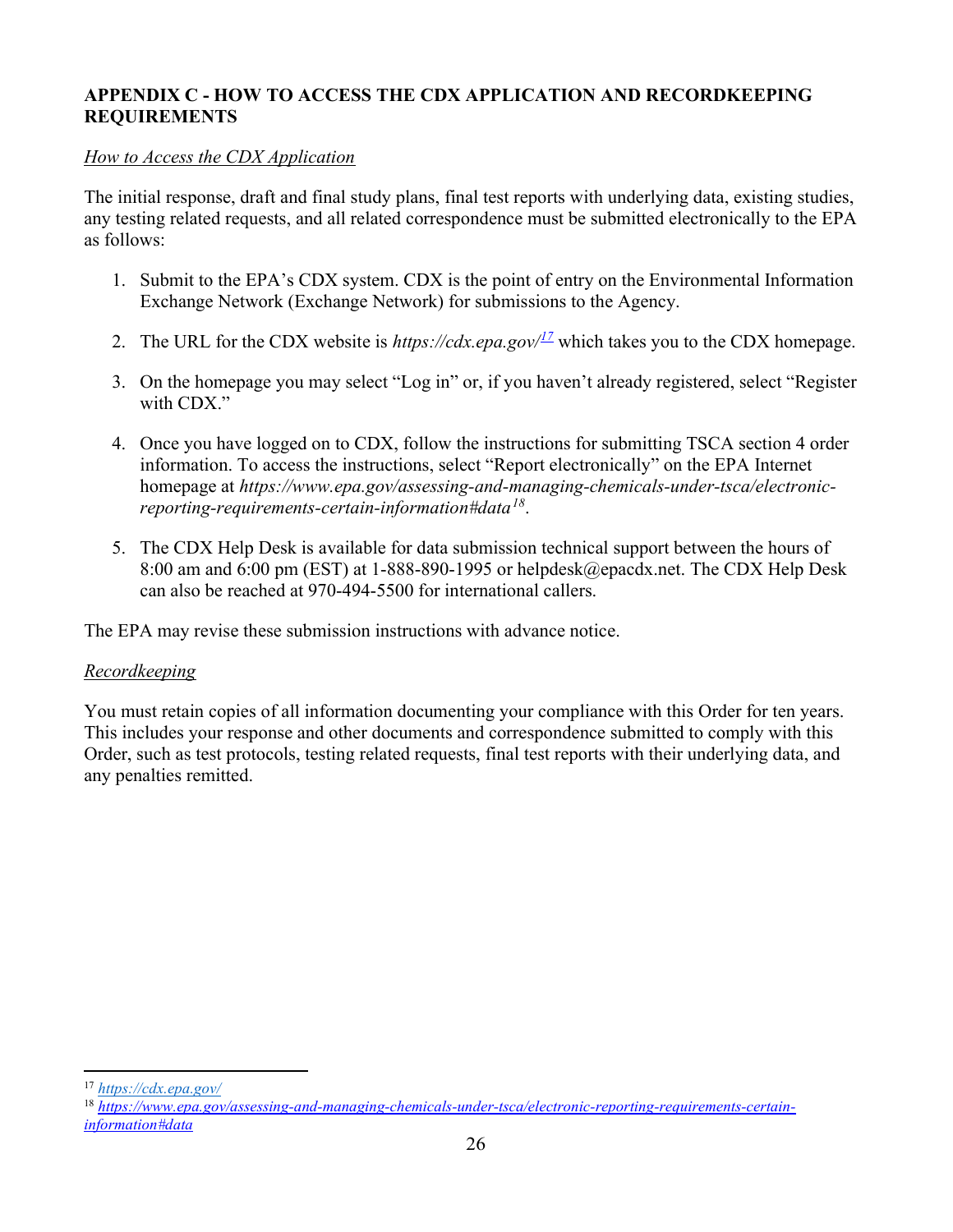### APPENDIX C - HOW TO ACCESS THE CDX APPLICATION AND RECORDKEEPING REQUIREMENTS

### How to Access the CDX Application

The initial response, draft and final study plans, final test reports with underlying data, existing studies, any testing related requests, and all related correspondence must be submitted electronically to the EPA as follows:

- 1. Submit to the EPA's CDX system. CDX is the point of entry on the Environmental Information Exchange Network (Exchange Network) for submissions to the Agency.
- 2. The URL for the CDX website is https://cdx.epa.gov/ $\frac{17}{2}$  which takes you to the CDX homepage.
- 3. On the homepage you may select "Log in" or, if you haven't already registered, select "Register with CDX."
- 4. Once you have logged on to CDX, follow the instructions for submitting TSCA section 4 order information. To access the instructions, select "Report electronically" on the EPA Internet homepage at https://www.epa.gov/assessing-and-managing-chemicals-under-tsca/electronicreporting-requirements-certain-information#data $^{18}$ .
- 5. The CDX Help Desk is available for data submission technical support between the hours of 8:00 am and 6:00 pm (EST) at 1-888-890-1995 or helpdesk@epacdx.net. The CDX Help Desk can also be reached at 970-494-5500 for international callers.

The EPA may revise these submission instructions with advance notice.

### Recordkeeping

You must retain copies of all information documenting your compliance with this Order for ten years. This includes your response and other documents and correspondence submitted to comply with this Order, such as test protocols, testing related requests, final test reports with their underlying data, and any penalties remitted.

<sup>17</sup> https://cdx.epa.gov/

<sup>&</sup>lt;sup>18</sup> https://www.epa.gov/assessing-and-managing-chemicals-under-tsca/electronic-reporting-requirements-certaininformation#data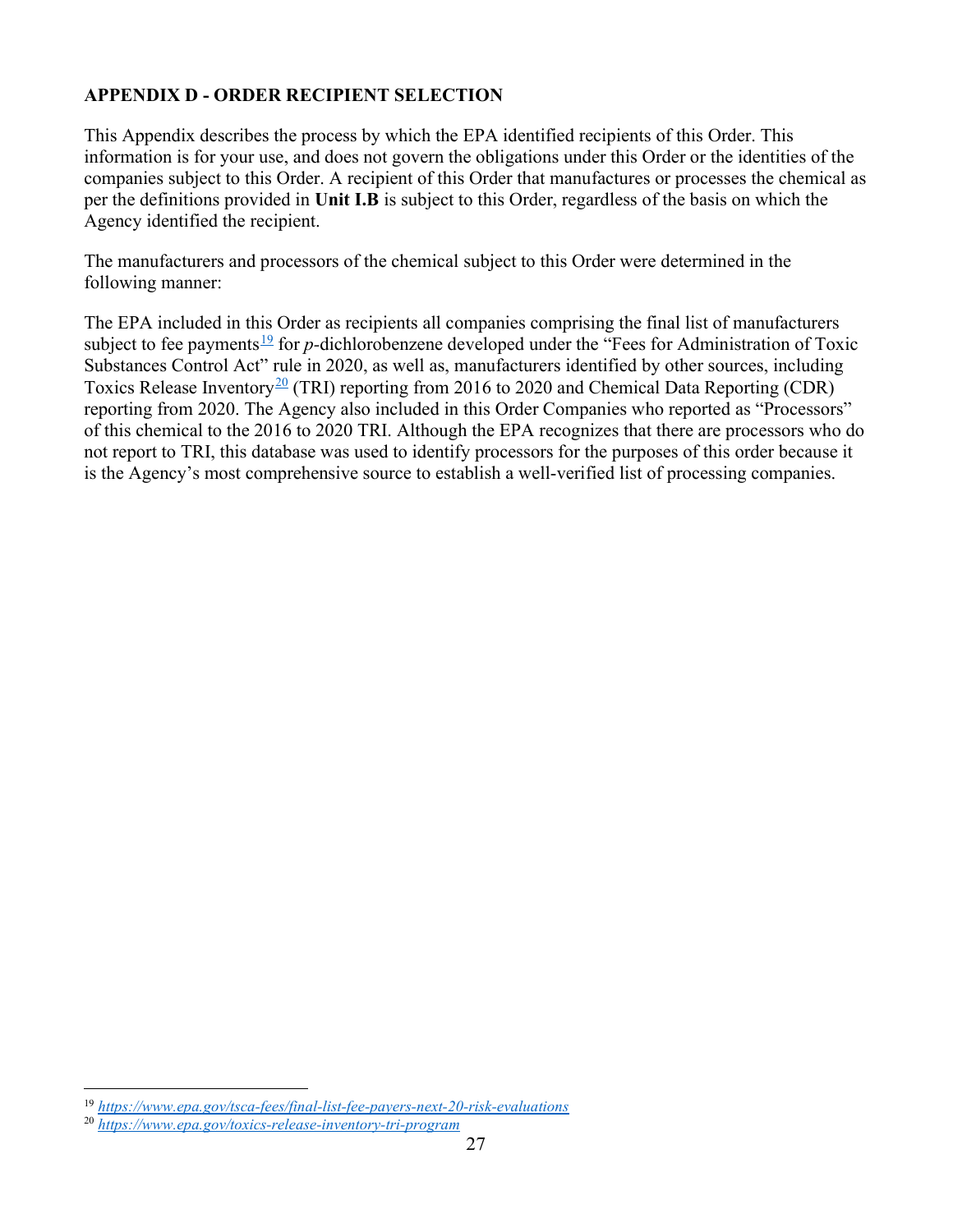## APPENDIX D - ORDER RECIPIENT SELECTION

This Appendix describes the process by which the EPA identified recipients of this Order. This information is for your use, and does not govern the obligations under this Order or the identities of the companies subject to this Order. A recipient of this Order that manufactures or processes the chemical as per the definitions provided in Unit I.B is subject to this Order, regardless of the basis on which the Agency identified the recipient.

The manufacturers and processors of the chemical subject to this Order were determined in the following manner:

The EPA included in this Order as recipients all companies comprising the final list of manufacturers subject to fee payments<sup>19</sup> for p-dichlorobenzene developed under the "Fees for Administration of Toxic Substances Control Act" rule in 2020, as well as, manufacturers identified by other sources, including Toxics Release Inventory<sup>20</sup> (TRI) reporting from 2016 to 2020 and Chemical Data Reporting (CDR) reporting from 2020. The Agency also included in this Order Companies who reported as "Processors" of this chemical to the 2016 to 2020 TRI. Although the EPA recognizes that there are processors who do not report to TRI, this database was used to identify processors for the purposes of this order because it is the Agency's most comprehensive source to establish a well-verified list of processing companies.

<sup>19</sup> https://www.epa.gov/tsca-fees/final-list-fee-payers-next-20-risk-evaluations

<sup>20</sup> https://www.epa.gov/toxics-release-inventory-tri-program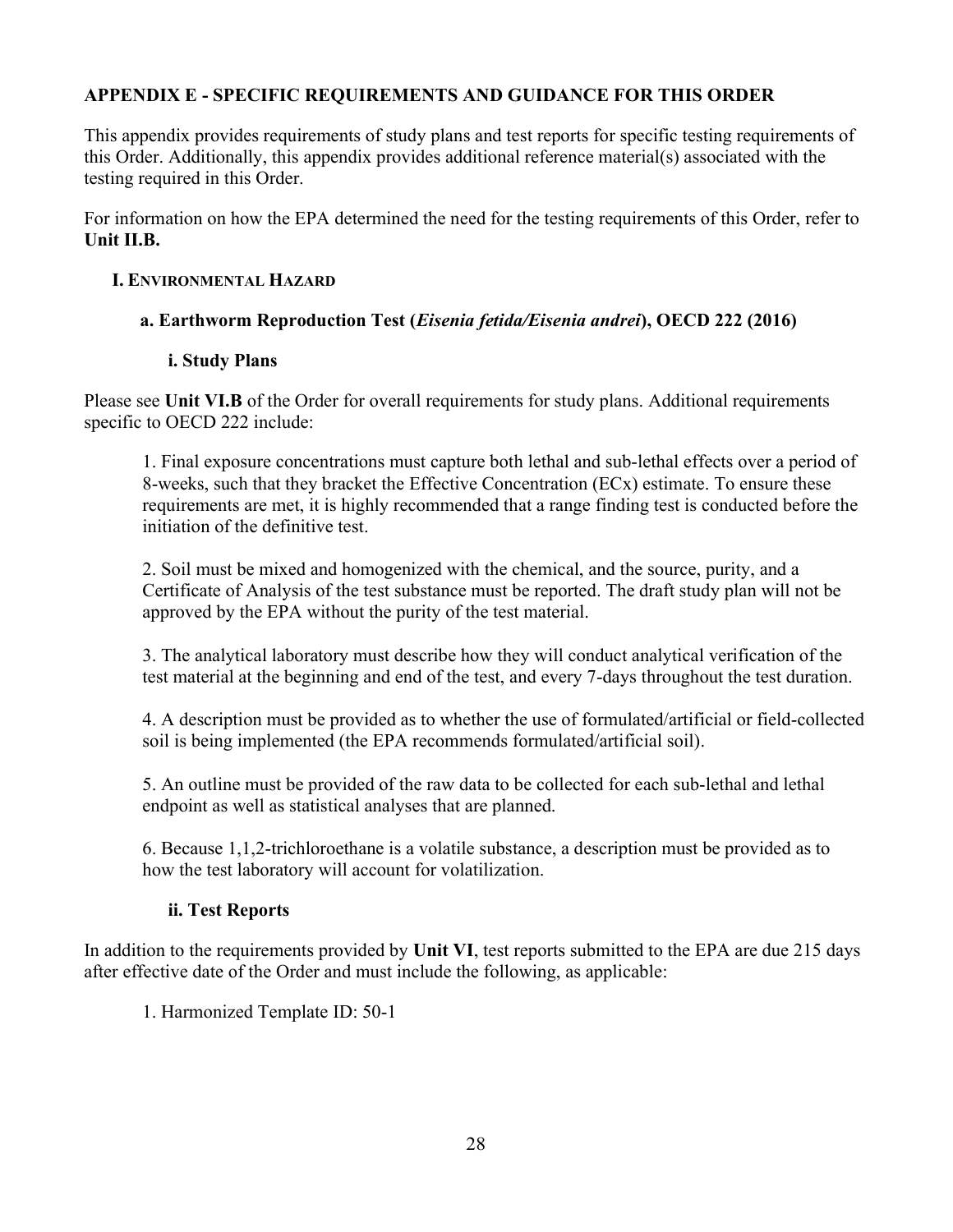### APPENDIX E - SPECIFIC REQUIREMENTS AND GUIDANCE FOR THIS ORDER

This appendix provides requirements of study plans and test reports for specific testing requirements of this Order. Additionally, this appendix provides additional reference material(s) associated with the testing required in this Order.

For information on how the EPA determined the need for the testing requirements of this Order, refer to Unit II.B.

#### I. ENVIRONMENTAL HAZARD

#### a. Earthworm Reproduction Test (Eisenia fetida/Eisenia andrei), OECD 222 (2016)

#### i. Study Plans

Please see Unit VI.B of the Order for overall requirements for study plans. Additional requirements specific to OECD 222 include:

1. Final exposure concentrations must capture both lethal and sub-lethal effects over a period of 8-weeks, such that they bracket the Effective Concentration (ECx) estimate. To ensure these requirements are met, it is highly recommended that a range finding test is conducted before the initiation of the definitive test.

2. Soil must be mixed and homogenized with the chemical, and the source, purity, and a Certificate of Analysis of the test substance must be reported. The draft study plan will not be approved by the EPA without the purity of the test material.

3. The analytical laboratory must describe how they will conduct analytical verification of the test material at the beginning and end of the test, and every 7-days throughout the test duration.

4. A description must be provided as to whether the use of formulated/artificial or field-collected soil is being implemented (the EPA recommends formulated/artificial soil).

5. An outline must be provided of the raw data to be collected for each sub-lethal and lethal endpoint as well as statistical analyses that are planned.

6. Because 1,1,2-trichloroethane is a volatile substance, a description must be provided as to how the test laboratory will account for volatilization.

#### ii. Test Reports

In addition to the requirements provided by Unit VI, test reports submitted to the EPA are due 215 days after effective date of the Order and must include the following, as applicable:

1. Harmonized Template ID: 50-1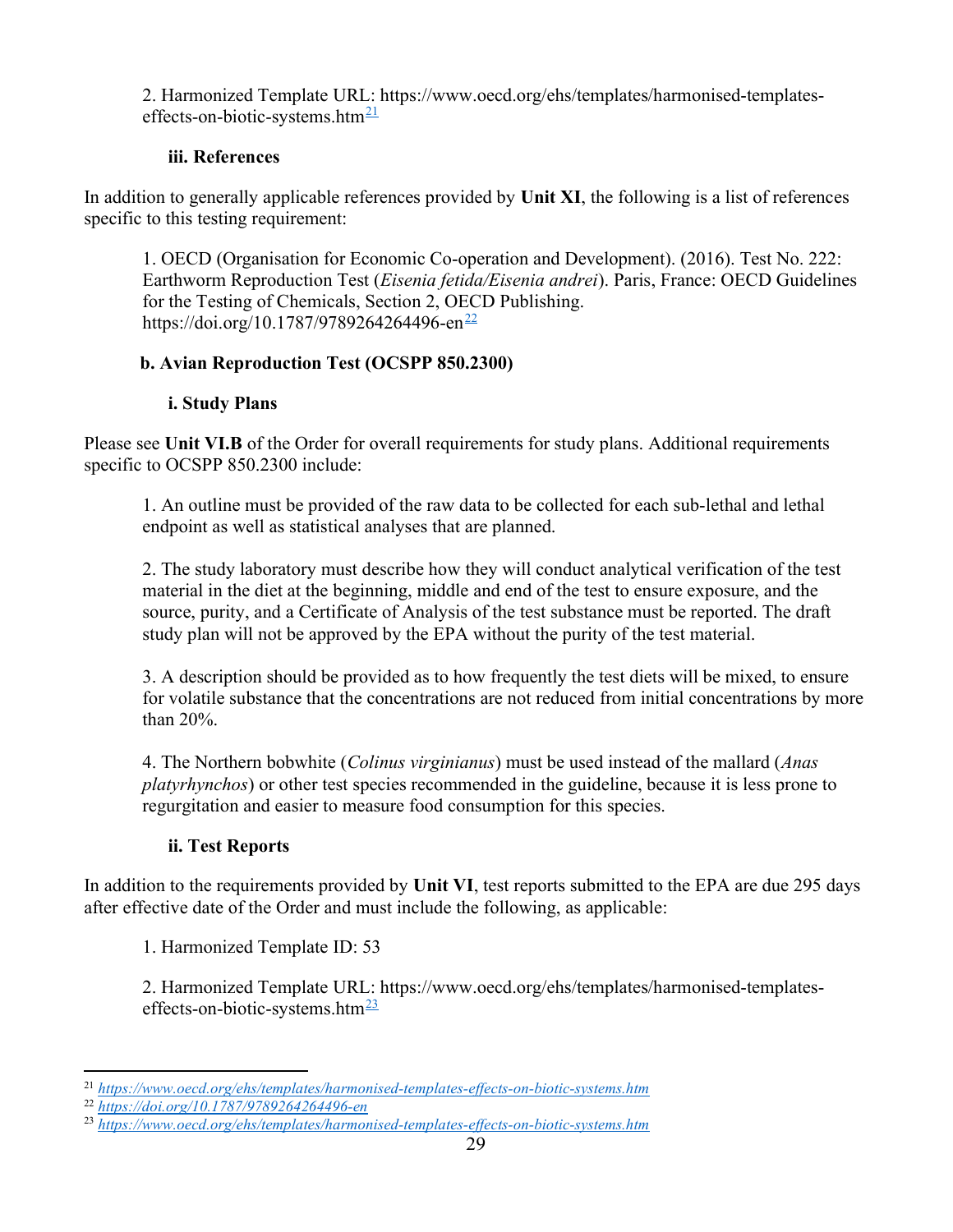2. Harmonized Template URL: https://www.oecd.org/ehs/templates/harmonised-templateseffects-on-biotic-systems.htm<sup>21</sup>

### iii. References

In addition to generally applicable references provided by Unit XI, the following is a list of references specific to this testing requirement:

1. OECD (Organisation for Economic Co-operation and Development). (2016). Test No. 222: Earthworm Reproduction Test (Eisenia fetida/Eisenia andrei). Paris, France: OECD Guidelines for the Testing of Chemicals, Section 2, OECD Publishing. https://doi.org/10.1787/9789264264496-en<sup>22</sup>

## b. Avian Reproduction Test (OCSPP 850.2300)

### i. Study Plans

Please see Unit VI.B of the Order for overall requirements for study plans. Additional requirements specific to OCSPP 850.2300 include:

1. An outline must be provided of the raw data to be collected for each sub-lethal and lethal endpoint as well as statistical analyses that are planned.

2. The study laboratory must describe how they will conduct analytical verification of the test material in the diet at the beginning, middle and end of the test to ensure exposure, and the source, purity, and a Certificate of Analysis of the test substance must be reported. The draft study plan will not be approved by the EPA without the purity of the test material.

3. A description should be provided as to how frequently the test diets will be mixed, to ensure for volatile substance that the concentrations are not reduced from initial concentrations by more than 20%.

4. The Northern bobwhite (*Colinus virginianus*) must be used instead of the mallard (*Anas*) platyrhynchos) or other test species recommended in the guideline, because it is less prone to regurgitation and easier to measure food consumption for this species.

## ii. Test Reports

In addition to the requirements provided by Unit VI, test reports submitted to the EPA are due 295 days after effective date of the Order and must include the following, as applicable:

1. Harmonized Template ID: 53

2. Harmonized Template URL: https://www.oecd.org/ehs/templates/harmonised-templateseffects-on-biotic-systems.htm $\frac{23}{2}$ 

<sup>21</sup> https://www.oecd.org/ehs/templates/harmonised-templates-effects-on-biotic-systems.htm

<sup>22</sup> https://doi.org/10.1787/9789264264496-en

<sup>&</sup>lt;sup>23</sup> https://www.oecd.org/ehs/templates/harmonised-templates-effects-on-biotic-systems.htm